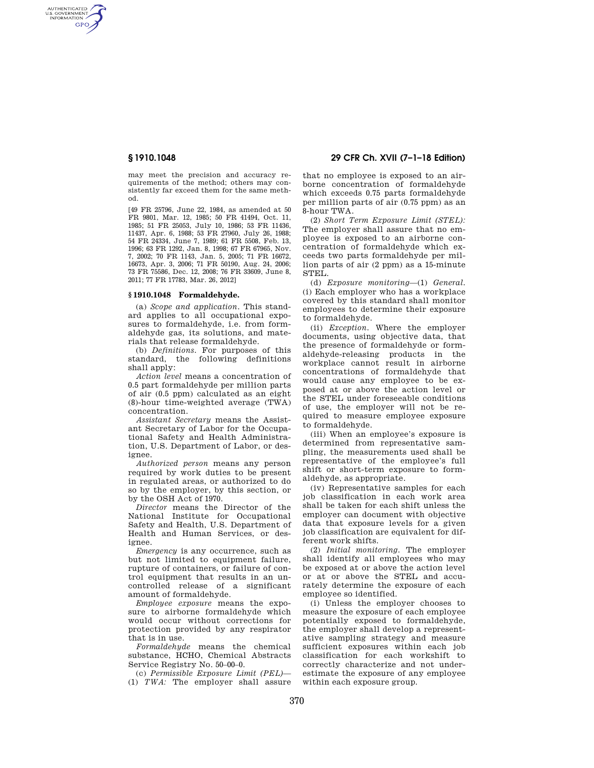AUTHENTICATED<br>U.S. GOVERNMENT<br>INFORMATION **GPO** 

> may meet the precision and accuracy requirements of the method; others may consistently far exceed them for the same method.

> [49 FR 25796, June 22, 1984, as amended at 50 FR 9801, Mar. 12, 1985; 50 FR 41494, Oct. 11, 1985; 51 FR 25053, July 10, 1986; 53 FR 11436, 11437, Apr. 6, 1988; 53 FR 27960, July 26, 1988; 54 FR 24334, June 7, 1989; 61 FR 5508, Feb. 13, 1996; 63 FR 1292, Jan. 8, 1998; 67 FR 67965, Nov. 7, 2002; 70 FR 1143, Jan. 5, 2005; 71 FR 16672, 16673, Apr. 3, 2006; 71 FR 50190, Aug. 24, 2006; 73 FR 75586, Dec. 12, 2008; 76 FR 33609, June 8, 2011; 77 FR 17783, Mar. 26, 2012]

# **§ 1910.1048 Formaldehyde.**

(a) *Scope and application.* This standard applies to all occupational exposures to formaldehyde, i.e. from formaldehyde gas, its solutions, and materials that release formaldehyde.

(b) *Definitions.* For purposes of this standard, the following definitions shall apply:

*Action level* means a concentration of 0.5 part formaldehyde per million parts of air (0.5 ppm) calculated as an eight (8)-hour time-weighted average (TWA) concentration.

*Assistant Secretary* means the Assistant Secretary of Labor for the Occupational Safety and Health Administration, U.S. Department of Labor, or designee.

*Authorized person* means any person required by work duties to be present in regulated areas, or authorized to do so by the employer, by this section, or by the OSH Act of 1970.

*Director* means the Director of the National Institute for Occupational Safety and Health, U.S. Department of Health and Human Services, or designee.

*Emergency* is any occurrence, such as but not limited to equipment failure, rupture of containers, or failure of control equipment that results in an uncontrolled release of a significant amount of formaldehyde.

*Employee exposure* means the exposure to airborne formaldehyde which would occur without corrections for protection provided by any respirator that is in use.

*Formaldehyde* means the chemical substance, HCHO, Chemical Abstracts Service Registry No. 50–00–0.

(c) *Permissible Exposure Limit (PEL)*— (1) *TWA:* The employer shall assure

**§ 1910.1048 29 CFR Ch. XVII (7–1–18 Edition)** 

that no employee is exposed to an airborne concentration of formaldehyde which exceeds 0.75 parts formaldehyde per million parts of air (0.75 ppm) as an 8-hour TWA.

(2) *Short Term Exposure Limit (STEL):*  The employer shall assure that no employee is exposed to an airborne concentration of formaldehyde which exceeds two parts formaldehyde per million parts of air (2 ppm) as a 15-minute STEL.

(d) *Exposure monitoring*—(1) *General.*  (i) Each employer who has a workplace covered by this standard shall monitor employees to determine their exposure to formaldehyde.

(ii) *Exception.* Where the employer documents, using objective data, that the presence of formaldehyde or formaldehyde-releasing products in the workplace cannot result in airborne concentrations of formaldehyde that would cause any employee to be exposed at or above the action level or the STEL under foreseeable conditions of use, the employer will not be required to measure employee exposure to formaldehyde.

(iii) When an employee's exposure is determined from representative sampling, the measurements used shall be representative of the employee's full shift or short-term exposure to formaldehyde, as appropriate.

(iv) Representative samples for each job classification in each work area shall be taken for each shift unless the employer can document with objective data that exposure levels for a given job classification are equivalent for different work shifts.

(2) *Initial monitoring.* The employer shall identify all employees who may be exposed at or above the action level or at or above the STEL and accurately determine the exposure of each employee so identified.

(i) Unless the employer chooses to measure the exposure of each employee potentially exposed to formaldehyde, the employer shall develop a representative sampling strategy and measure sufficient exposures within each job classification for each workshift to correctly characterize and not underestimate the exposure of any employee within each exposure group.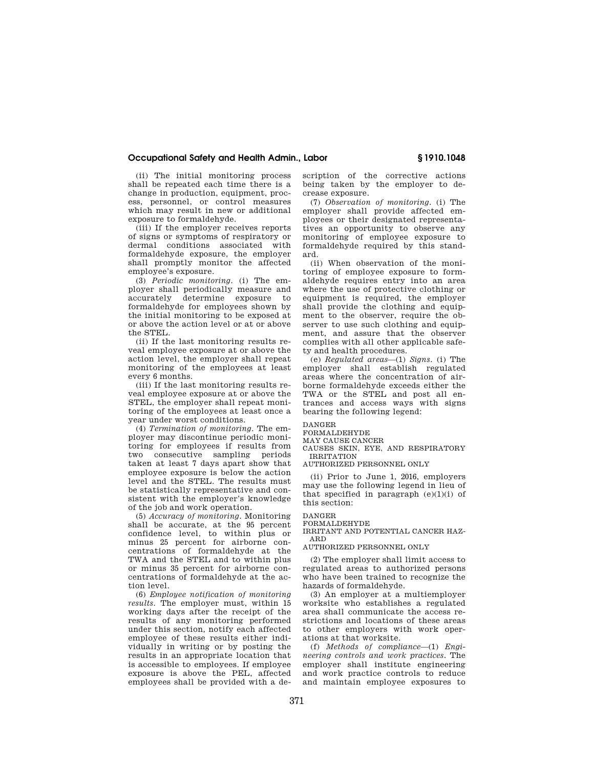(ii) The initial monitoring process shall be repeated each time there is a change in production, equipment, process, personnel, or control measures which may result in new or additional exposure to formaldehyde.

(iii) If the employer receives reports of signs or symptoms of respiratory or dermal conditions associated with formaldehyde exposure, the employer shall promptly monitor the affected employee's exposure.

(3) *Periodic monitoring.* (i) The employer shall periodically measure and accurately determine exposure to formaldehyde for employees shown by the initial monitoring to be exposed at or above the action level or at or above the STEL.

(ii) If the last monitoring results reveal employee exposure at or above the action level, the employer shall repeat monitoring of the employees at least every 6 months.

(iii) If the last monitoring results reveal employee exposure at or above the STEL, the employer shall repeat monitoring of the employees at least once a year under worst conditions.

(4) *Termination of monitoring.* The employer may discontinue periodic monitoring for employees if results from two consecutive sampling periods taken at least 7 days apart show that employee exposure is below the action level and the STEL. The results must be statistically representative and consistent with the employer's knowledge of the job and work operation.

(5) *Accuracy of monitoring.* Monitoring shall be accurate, at the 95 percent confidence level, to within plus or minus 25 percent for airborne concentrations of formaldehyde at the TWA and the STEL and to within plus or minus 35 percent for airborne concentrations of formaldehyde at the action level.

(6) *Employee notification of monitoring results.* The employer must, within 15 working days after the receipt of the results of any monitoring performed under this section, notify each affected employee of these results either individually in writing or by posting the results in an appropriate location that is accessible to employees. If employee exposure is above the PEL, affected employees shall be provided with a description of the corrective actions being taken by the employer to decrease exposure.

(7) *Observation of monitoring.* (i) The employer shall provide affected employees or their designated representatives an opportunity to observe any monitoring of employee exposure to formaldehyde required by this standard.

(ii) When observation of the monitoring of employee exposure to formaldehyde requires entry into an area where the use of protective clothing or equipment is required, the employer shall provide the clothing and equipment to the observer, require the observer to use such clothing and equipment, and assure that the observer complies with all other applicable safety and health procedures.

(e) *Regulated areas*—(1) *Signs.* (i) The employer shall establish regulated areas where the concentration of airborne formaldehyde exceeds either the TWA or the STEL and post all entrances and access ways with signs bearing the following legend:

DANGER

FORMALDEHYDE

MAY CAUSE CANCER

CAUSES SKIN, EYE, AND RESPIRATORY IRRITATION

AUTHORIZED PERSONNEL ONLY

(ii) Prior to June 1, 2016, employers may use the following legend in lieu of that specified in paragraph  $(e)(1)(i)$  of this section:

DANGER

FORMALDEHYDE

IRRITANT AND POTENTIAL CANCER HAZ-ARD

AUTHORIZED PERSONNEL ONLY

(2) The employer shall limit access to regulated areas to authorized persons who have been trained to recognize the hazards of formaldehyde.

(3) An employer at a multiemployer worksite who establishes a regulated area shall communicate the access restrictions and locations of these areas to other employers with work operations at that worksite.

(f) *Methods of compliance*—(1) *Engineering controls and work practices.* The employer shall institute engineering and work practice controls to reduce and maintain employee exposures to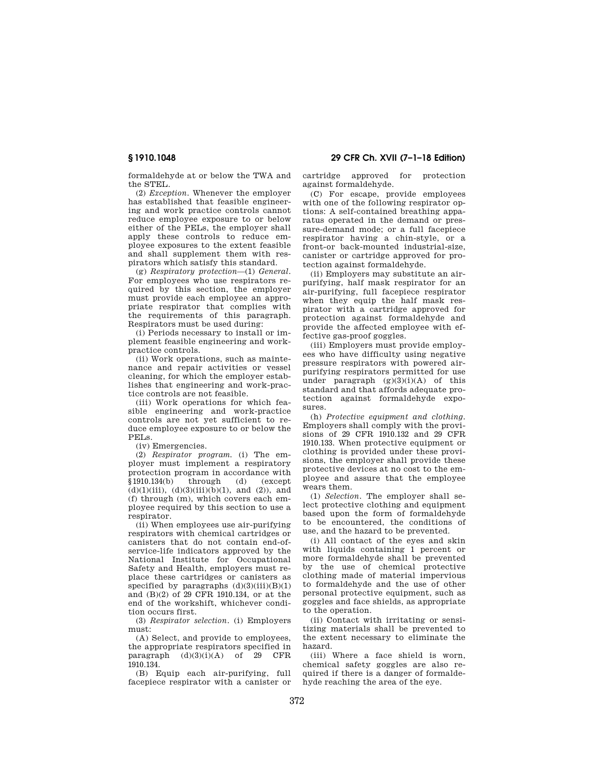formaldehyde at or below the TWA and the STEL.

(2) *Exception.* Whenever the employer has established that feasible engineering and work practice controls cannot reduce employee exposure to or below either of the PELs, the employer shall apply these controls to reduce employee exposures to the extent feasible and shall supplement them with respirators which satisfy this standard.

(g) *Respiratory protection*—(1) *General.*  For employees who use respirators required by this section, the employer must provide each employee an appropriate respirator that complies with the requirements of this paragraph. Respirators must be used during:

(i) Periods necessary to install or implement feasible engineering and workpractice controls.

(ii) Work operations, such as maintenance and repair activities or vessel cleaning, for which the employer establishes that engineering and work-practice controls are not feasible.

(iii) Work operations for which feasible engineering and work-practice controls are not yet sufficient to reduce employee exposure to or below the PELs.

(iv) Emergencies.

(2) *Respirator program.* (i) The employer must implement a respiratory protection program in accordance with<br>§1910.134(b) through (d) (except  $§1910.134(b)$  through (d) (except  $(d)(1)(iii)$ ,  $(d)(3)(iii)(b)(1)$ , and  $(2)$ ), and (f) through (m), which covers each employee required by this section to use a respirator.

(ii) When employees use air-purifying respirators with chemical cartridges or canisters that do not contain end-ofservice-life indicators approved by the National Institute for Occupational Safety and Health, employers must replace these cartridges or canisters as specified by paragraphs  $(d)(3)(iii)(B)(1)$ and (B)(2) of 29 CFR 1910.134, or at the end of the workshift, whichever condition occurs first.

(3) *Respirator selection.* (i) Employers must:

(A) Select, and provide to employees, the appropriate respirators specified in paragraph  $(d)(3)(i)(A)$  of 29 CFR 1910.134.

(B) Equip each air-purifying, full facepiece respirator with a canister or

**§ 1910.1048 29 CFR Ch. XVII (7–1–18 Edition)** 

cartridge approved for protection against formaldehyde.

(C) For escape, provide employees with one of the following respirator options: A self-contained breathing apparatus operated in the demand or pressure-demand mode; or a full facepiece respirator having a chin-style, or a front-or back-mounted industrial-size, canister or cartridge approved for protection against formaldehyde.

(ii) Employers may substitute an airpurifying, half mask respirator for an air-purifying, full facepiece respirator when they equip the half mask respirator with a cartridge approved for protection against formaldehyde and provide the affected employee with effective gas-proof goggles.

(iii) Employers must provide employees who have difficulty using negative pressure respirators with powered airpurifying respirators permitted for use under paragraph  $(g)(3)(i)(A)$  of this standard and that affords adequate protection against formaldehyde exposures.

(h) *Protective equipment and clothing.*  Employers shall comply with the provisions of 29 CFR 1910.132 and 29 CFR 1910.133. When protective equipment or clothing is provided under these provisions, the employer shall provide these protective devices at no cost to the employee and assure that the employee wears them.

(1) *Selection.* The employer shall select protective clothing and equipment based upon the form of formaldehyde to be encountered, the conditions of use, and the hazard to be prevented.

(i) All contact of the eyes and skin with liquids containing 1 percent or more formaldehyde shall be prevented by the use of chemical protective clothing made of material impervious to formaldehyde and the use of other personal protective equipment, such as goggles and face shields, as appropriate to the operation.

(ii) Contact with irritating or sensitizing materials shall be prevented to the extent necessary to eliminate the hazard.

(iii) Where a face shield is worn, chemical safety goggles are also required if there is a danger of formaldehyde reaching the area of the eye.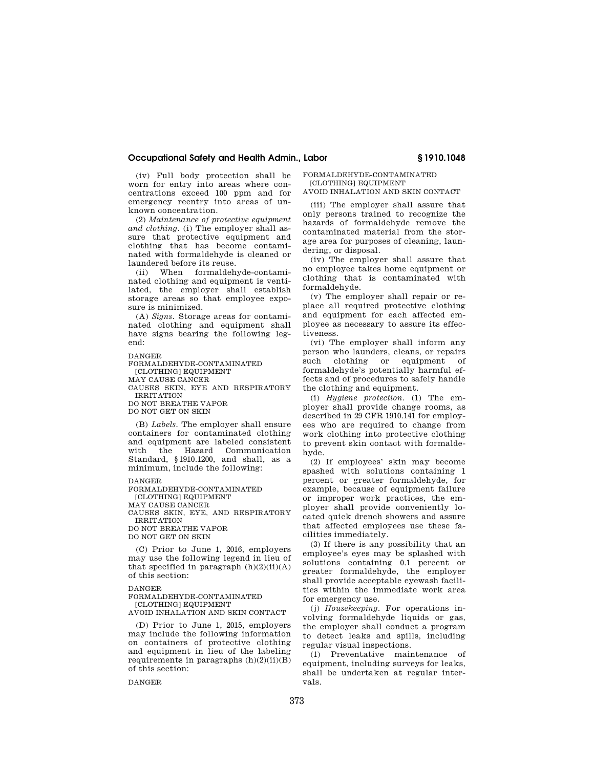(iv) Full body protection shall be worn for entry into areas where concentrations exceed 100 ppm and for emergency reentry into areas of unknown concentration.

(2) *Maintenance of protective equipment and clothing.* (i) The employer shall assure that protective equipment and clothing that has become contaminated with formaldehyde is cleaned or laundered before its reuse.

(ii) When formaldehyde-contaminated clothing and equipment is ventilated, the employer shall establish storage areas so that employee exposure is minimized.

(A) *Signs.* Storage areas for contaminated clothing and equipment shall have signs bearing the following legend:

DANGER

FORMALDEHYDE-CONTAMINATED [CLOTHING] EQUIPMENT MAY CAUSE CANCER CAUSES SKIN, EYE AND RESPIRATORY IRRITATION

DO NOT BREATHE VAPOR

DO NOT GET ON SKIN

(B) *Labels.* The employer shall ensure containers for contaminated clothing and equipment are labeled consistent with the Hazard Communication Standard, §1910.1200, and shall, as a minimum, include the following:

DANGER

FORMALDEHYDE-CONTAMINATED

[CLOTHING] EQUIPMENT

MAY CAUSE CANCER

CAUSES SKIN, EYE, AND RESPIRATORY IRRITATION

DO NOT BREATHE VAPOR

DO NOT GET ON SKIN

(C) Prior to June 1, 2016, employers may use the following legend in lieu of that specified in paragraph  $(h)(2)(ii)(A)$ of this section:

DANGER

FORMALDEHYDE-CONTAMINATED

[CLOTHING] EQUIPMENT

AVOID INHALATION AND SKIN CONTACT

(D) Prior to June 1, 2015, employers may include the following information on containers of protective clothing and equipment in lieu of the labeling requirements in paragraphs  $(h)(2)(ii)(B)$ of this section:

DANGER

FORMALDEHYDE-CONTAMINATED [CLOTHING] EQUIPMENT

AVOID INHALATION AND SKIN CONTACT

(iii) The employer shall assure that only persons trained to recognize the hazards of formaldehyde remove the contaminated material from the storage area for purposes of cleaning, laundering, or disposal.

(iv) The employer shall assure that no employee takes home equipment or clothing that is contaminated with formaldehyde.

(v) The employer shall repair or replace all required protective clothing and equipment for each affected employee as necessary to assure its effectiveness.

(vi) The employer shall inform any person who launders, cleans, or repairs such clothing or equipment of formaldehyde's potentially harmful effects and of procedures to safely handle the clothing and equipment.

(i) *Hygiene protection.* (1) The employer shall provide change rooms, as described in 29 CFR 1910.141 for employees who are required to change from work clothing into protective clothing to prevent skin contact with formaldehyde.

(2) If employees' skin may become spashed with solutions containing 1 percent or greater formaldehyde, for example, because of equipment failure or improper work practices, the employer shall provide conveniently located quick drench showers and assure that affected employees use these facilities immediately.

(3) If there is any possibility that an employee's eyes may be splashed with solutions containing 0.1 percent or greater formaldehyde, the employer shall provide acceptable eyewash facilities within the immediate work area for emergency use.

(j) *Housekeeping.* For operations involving formaldehyde liquids or gas, the employer shall conduct a program to detect leaks and spills, including regular visual inspections.

(1) Preventative maintenance of equipment, including surveys for leaks, shall be undertaken at regular intervals.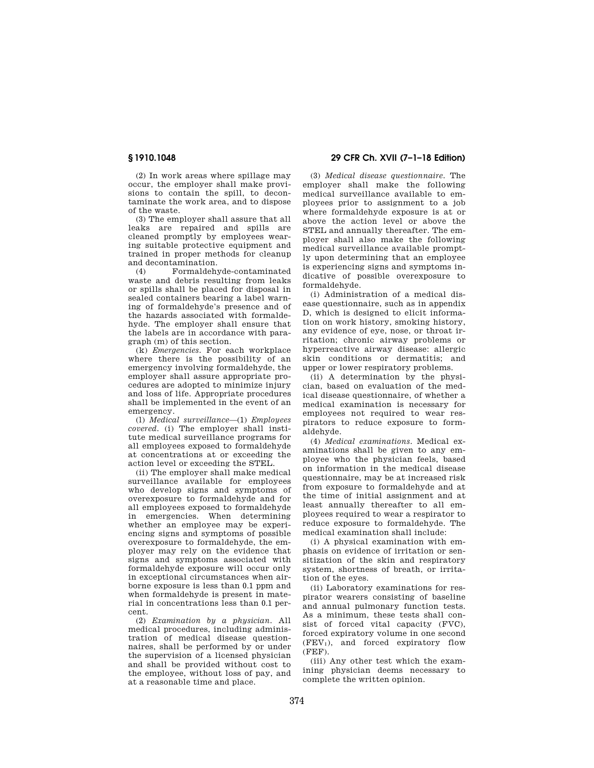(2) In work areas where spillage may occur, the employer shall make provisions to contain the spill, to decontaminate the work area, and to dispose of the waste.

(3) The employer shall assure that all leaks are repaired and spills are cleaned promptly by employees wearing suitable protective equipment and trained in proper methods for cleanup and decontamination.<br>(4) Formaldeh

(4) Formaldehyde-contaminated waste and debris resulting from leaks or spills shall be placed for disposal in sealed containers bearing a label warning of formaldehyde's presence and of the hazards associated with formaldehyde. The employer shall ensure that the labels are in accordance with paragraph (m) of this section.

(k) *Emergencies.* For each workplace where there is the possibility of an emergency involving formaldehyde, the employer shall assure appropriate procedures are adopted to minimize injury and loss of life. Appropriate procedures shall be implemented in the event of an emergency.

(l) *Medical surveillance*—(1) *Employees covered.* (i) The employer shall institute medical surveillance programs for all employees exposed to formaldehyde at concentrations at or exceeding the action level or exceeding the STEL.

(ii) The employer shall make medical surveillance available for employees who develop signs and symptoms of overexposure to formaldehyde and for all employees exposed to formaldehyde in emergencies. When determining whether an employee may be experiencing signs and symptoms of possible overexposure to formaldehyde, the employer may rely on the evidence that signs and symptoms associated with formaldehyde exposure will occur only in exceptional circumstances when airborne exposure is less than 0.1 ppm and when formaldehyde is present in material in concentrations less than 0.1 percent.

(2) *Examination by a physician.* All medical procedures, including administration of medical disease questionnaires, shall be performed by or under the supervision of a licensed physician and shall be provided without cost to the employee, without loss of pay, and at a reasonable time and place.

# **§ 1910.1048 29 CFR Ch. XVII (7–1–18 Edition)**

(3) *Medical disease questionnaire.* The employer shall make the following medical surveillance available to employees prior to assignment to a job where formaldehyde exposure is at or above the action level or above the STEL and annually thereafter. The employer shall also make the following medical surveillance available promptly upon determining that an employee is experiencing signs and symptoms indicative of possible overexposure to formaldehyde.

(i) Administration of a medical disease questionnaire, such as in appendix D, which is designed to elicit information on work history, smoking history, any evidence of eye, nose, or throat irritation; chronic airway problems or hyperreactive airway disease: allergic skin conditions or dermatitis; and upper or lower respiratory problems.

(ii) A determination by the physician, based on evaluation of the medical disease questionnaire, of whether a medical examination is necessary for employees not required to wear respirators to reduce exposure to formaldehyde.

(4) *Medical examinations.* Medical examinations shall be given to any employee who the physician feels, based on information in the medical disease questionnaire, may be at increased risk from exposure to formaldehyde and at the time of initial assignment and at least annually thereafter to all employees required to wear a respirator to reduce exposure to formaldehyde. The medical examination shall include:

(i) A physical examination with emphasis on evidence of irritation or sensitization of the skin and respiratory system, shortness of breath, or irritation of the eyes.

(ii) Laboratory examinations for respirator wearers consisting of baseline and annual pulmonary function tests. As a minimum, these tests shall consist of forced vital capacity (FVC), forced expiratory volume in one second  $(FEV<sub>1</sub>)$ , and forced expiratory flow (FEF).

(iii) Any other test which the examining physician deems necessary to complete the written opinion.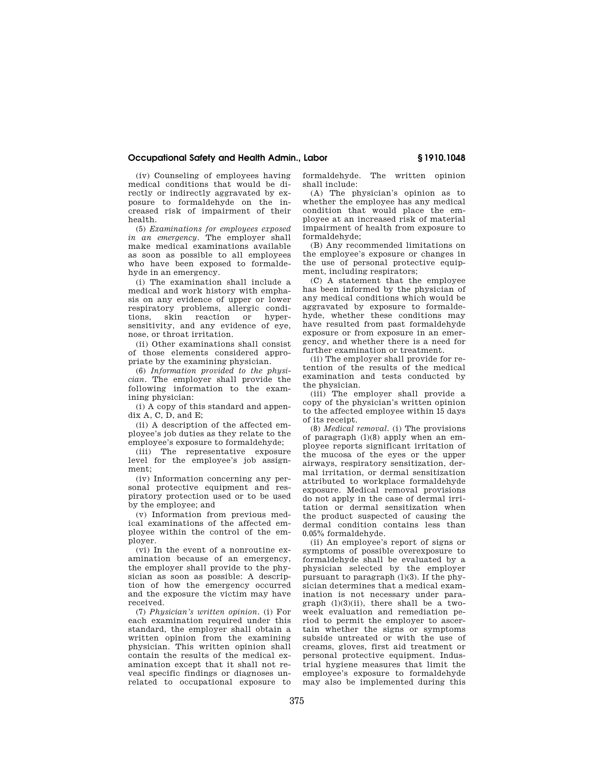(iv) Counseling of employees having medical conditions that would be directly or indirectly aggravated by exposure to formaldehyde on the increased risk of impairment of their health.

(5) *Examinations for employees exposed in an emergency.* The employer shall make medical examinations available as soon as possible to all employees who have been exposed to formaldehyde in an emergency.

(i) The examination shall include a medical and work history with emphasis on any evidence of upper or lower respiratory problems, allergic conditions, skin reaction or hypersensitivity, and any evidence of eye, nose, or throat irritation.

(ii) Other examinations shall consist of those elements considered appropriate by the examining physician.

(6) *Information provided to the physician.* The employer shall provide the following information to the examining physician:

(i) A copy of this standard and appen $dix A$ , C,  $D$ , and E:

(ii) A description of the affected employee's job duties as they relate to the employee's exposure to formaldehyde;

(iii) The representative exposure level for the employee's job assignment;

(iv) Information concerning any personal protective equipment and respiratory protection used or to be used by the employee; and

(v) Information from previous medical examinations of the affected employee within the control of the employer.

(vi) In the event of a nonroutine examination because of an emergency, the employer shall provide to the physician as soon as possible: A description of how the emergency occurred and the exposure the victim may have received.

(7) *Physician's written opinion.* (i) For each examination required under this standard, the employer shall obtain a written opinion from the examining physician. This written opinion shall contain the results of the medical examination except that it shall not reveal specific findings or diagnoses unrelated to occupational exposure to

formaldehyde. The written opinion shall include:

(A) The physician's opinion as to whether the employee has any medical condition that would place the employee at an increased risk of material impairment of health from exposure to formaldehyde;

(B) Any recommended limitations on the employee's exposure or changes in the use of personal protective equipment, including respirators;

(C) A statement that the employee has been informed by the physician of any medical conditions which would be aggravated by exposure to formaldehyde, whether these conditions may have resulted from past formaldehyde exposure or from exposure in an emergency, and whether there is a need for further examination or treatment.

(ii) The employer shall provide for retention of the results of the medical examination and tests conducted by the physician.

(iii) The employer shall provide a copy of the physician's written opinion to the affected employee within 15 days of its receipt.

(8) *Medical removal.* (i) The provisions of paragraph (l)(8) apply when an employee reports significant irritation of the mucosa of the eyes or the upper airways, respiratory sensitization, dermal irritation, or dermal sensitization attributed to workplace formaldehyde exposure. Medical removal provisions do not apply in the case of dermal irritation or dermal sensitization when the product suspected of causing the dermal condition contains less than 0.05% formaldehyde.

(ii) An employee's report of signs or symptoms of possible overexposure to formaldehyde shall be evaluated by a physician selected by the employer pursuant to paragraph  $(1)(3)$ . If the physician determines that a medical examination is not necessary under para $graph$   $(l)(3)(ii)$ , there shall be a twoweek evaluation and remediation period to permit the employer to ascertain whether the signs or symptoms subside untreated or with the use of creams, gloves, first aid treatment or personal protective equipment. Industrial hygiene measures that limit the employee's exposure to formaldehyde may also be implemented during this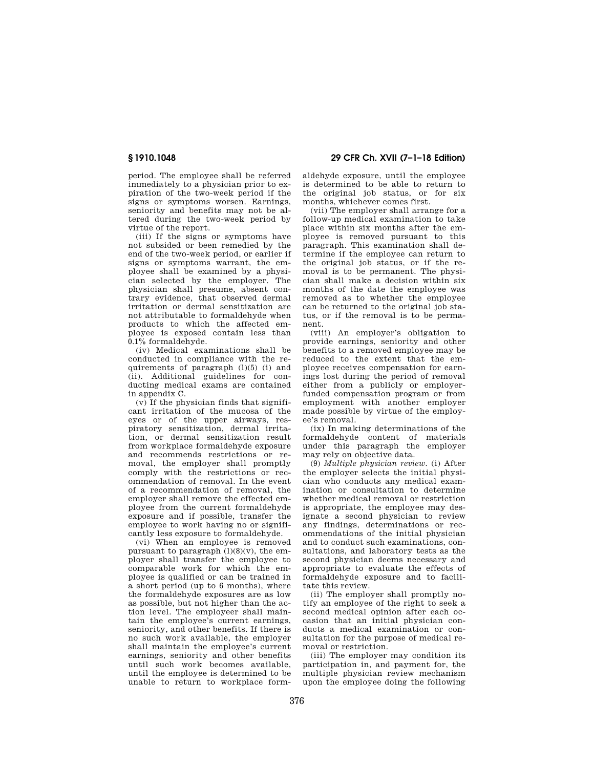period. The employee shall be referred immediately to a physician prior to expiration of the two-week period if the signs or symptoms worsen. Earnings, seniority and benefits may not be altered during the two-week period by virtue of the report.

(iii) If the signs or symptoms have not subsided or been remedied by the end of the two-week period, or earlier if signs or symptoms warrant, the employee shall be examined by a physician selected by the employer. The physician shall presume, absent contrary evidence, that observed dermal irritation or dermal sensitization are not attributable to formaldehyde when products to which the affected employee is exposed contain less than 0.1% formaldehyde.

(iv) Medical examinations shall be conducted in compliance with the requirements of paragraph (l)(5) (i) and (ii). Additional guidelines for conducting medical exams are contained in appendix C.

(v) If the physician finds that significant irritation of the mucosa of the eyes or of the upper airways, respiratory sensitization, dermal irritation, or dermal sensitization result from workplace formaldehyde exposure and recommends restrictions or removal, the employer shall promptly comply with the restrictions or recommendation of removal. In the event of a recommendation of removal, the employer shall remove the effected employee from the current formaldehyde exposure and if possible, transfer the employee to work having no or significantly less exposure to formaldehyde.

(vi) When an employee is removed pursuant to paragraph  $(l)(8)(v)$ , the employer shall transfer the employee to comparable work for which the employee is qualified or can be trained in a short period (up to 6 months), where the formaldehyde exposures are as low as possible, but not higher than the action level. The employeer shall maintain the employee's current earnings, seniority, and other benefits. If there is no such work available, the employer shall maintain the employee's current earnings, seniority and other benefits until such work becomes available, until the employee is determined to be unable to return to workplace form-

**§ 1910.1048 29 CFR Ch. XVII (7–1–18 Edition)** 

aldehyde exposure, until the employee is determined to be able to return to the original job status, or for six months, whichever comes first.

(vii) The employer shall arrange for a follow-up medical examination to take place within six months after the employee is removed pursuant to this paragraph. This examination shall determine if the employee can return to the original job status, or if the removal is to be permanent. The physician shall make a decision within six months of the date the employee was removed as to whether the employee can be returned to the original job status, or if the removal is to be permanent.

(viii) An employer's obligation to provide earnings, seniority and other benefits to a removed employee may be reduced to the extent that the employee receives compensation for earnings lost during the period of removal either from a publicly or employerfunded compensation program or from employment with another employer made possible by virtue of the employee's removal.

(ix) In making determinations of the formaldehyde content of materials under this paragraph the employer may rely on objective data.

(9) *Multiple physician review.* (i) After the employer selects the initial physician who conducts any medical examination or consultation to determine whether medical removal or restriction is appropriate, the employee may designate a second physician to review any findings, determinations or recommendations of the initial physician and to conduct such examinations, consultations, and laboratory tests as the second physician deems necessary and appropriate to evaluate the effects of formaldehyde exposure and to facilitate this review.

(ii) The employer shall promptly notify an employee of the right to seek a second medical opinion after each occasion that an initial physician conducts a medical examination or consultation for the purpose of medical removal or restriction.

(iii) The employer may condition its participation in, and payment for, the multiple physician review mechanism upon the employee doing the following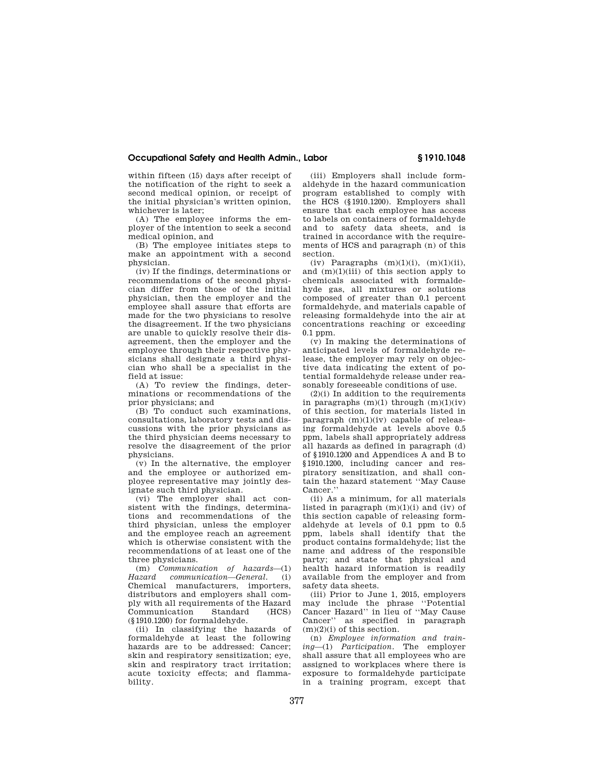within fifteen (15) days after receipt of the notification of the right to seek a second medical opinion, or receipt of the initial physician's written opinion, whichever is later;

(A) The employee informs the employer of the intention to seek a second medical opinion, and

(B) The employee initiates steps to make an appointment with a second physician.

(iv) If the findings, determinations or recommendations of the second physician differ from those of the initial physician, then the employer and the employee shall assure that efforts are made for the two physicians to resolve the disagreement. If the two physicians are unable to quickly resolve their disagreement, then the employer and the employee through their respective physicians shall designate a third physician who shall be a specialist in the field at issue:

(A) To review the findings, determinations or recommendations of the prior physicians; and

(B) To conduct such examinations, consultations, laboratory tests and discussions with the prior physicians as the third physician deems necessary to resolve the disagreement of the prior physicians.

(v) In the alternative, the employer and the employee or authorized employee representative may jointly designate such third physician.

(vi) The employer shall act consistent with the findings, determinations and recommendations of the third physician, unless the employer and the employee reach an agreement which is otherwise consistent with the recommendations of at least one of the three physicians.

(m) *Communication of hazards*—(1) *communication—General.* (i) Chemical manufacturers, importers, distributors and employers shall comply with all requirements of the Hazard<br>Communication Standard (HCS)  $Common$ ication (§1910.1200) for formaldehyde.

(ii) In classifying the hazards of formaldehyde at least the following hazards are to be addressed: Cancer; skin and respiratory sensitization; eye, skin and respiratory tract irritation; acute toxicity effects; and flammability.

(iii) Employers shall include formaldehyde in the hazard communication program established to comply with the HCS (§1910.1200). Employers shall ensure that each employee has access to labels on containers of formaldehyde and to safety data sheets, and is trained in accordance with the requirements of HCS and paragraph (n) of this section.

(iv) Paragraphs  $(m)(1)(i)$ ,  $(m)(1)(ii)$ , and  $(m)(1)(iii)$  of this section apply to chemicals associated with formaldehyde gas, all mixtures or solutions composed of greater than 0.1 percent formaldehyde, and materials capable of releasing formaldehyde into the air at concentrations reaching or exceeding  $0.1$  ppm.

(v) In making the determinations of anticipated levels of formaldehyde release, the employer may rely on objective data indicating the extent of potential formaldehyde release under reasonably foreseeable conditions of use.

 $(2)(i)$  In addition to the requirements in paragraphs  $(m)(1)$  through  $(m)(1)(iv)$ of this section, for materials listed in paragraph  $(m)(1)(iv)$  capable of releasing formaldehyde at levels above 0.5 ppm, labels shall appropriately address all hazards as defined in paragraph (d) of §1910.1200 and Appendices A and B to §1910.1200, including cancer and respiratory sensitization, and shall contain the hazard statement ''May Cause Cancer.''

(ii) As a minimum, for all materials listed in paragraph  $(m)(1)(i)$  and  $(iv)$  of this section capable of releasing formaldehyde at levels of 0.1 ppm to 0.5 ppm, labels shall identify that the product contains formaldehyde; list the name and address of the responsible party; and state that physical and health hazard information is readily available from the employer and from safety data sheets.

(iii) Prior to June 1, 2015, employers may include the phrase ''Potential Cancer Hazard'' in lieu of ''May Cause Cancer'' as specified in paragraph  $(m)(2)(i)$  of this section.

(n) *Employee information and training*—(1) *Participation.* The employer shall assure that all employees who are assigned to workplaces where there is exposure to formaldehyde participate in a training program, except that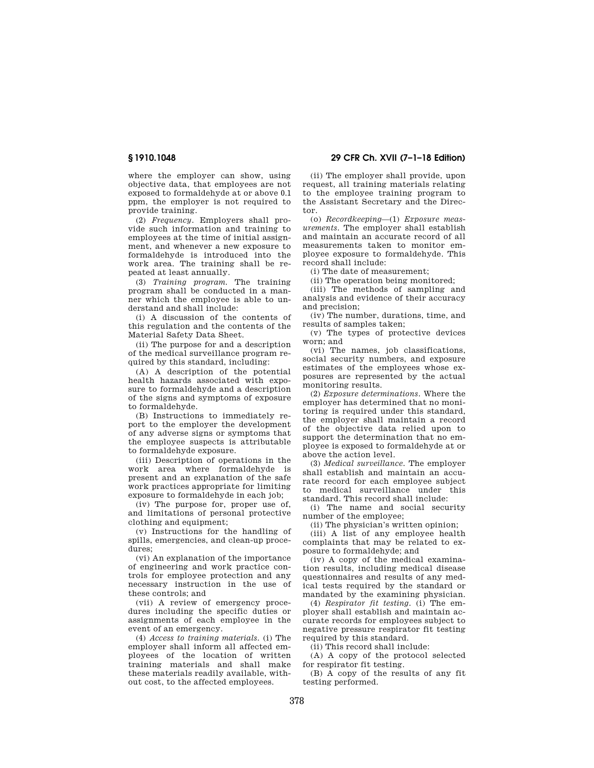where the employer can show, using objective data, that employees are not exposed to formaldehyde at or above 0.1 ppm, the employer is not required to provide training.

(2) *Frequency.* Employers shall provide such information and training to employees at the time of initial assignment, and whenever a new exposure to formaldehyde is introduced into the work area. The training shall be repeated at least annually.

(3) *Training program.* The training program shall be conducted in a manner which the employee is able to understand and shall include:

(i) A discussion of the contents of this regulation and the contents of the Material Safety Data Sheet.

(ii) The purpose for and a description of the medical surveillance program required by this standard, including:

(A) A description of the potential health hazards associated with exposure to formaldehyde and a description of the signs and symptoms of exposure to formaldehyde.

(B) Instructions to immediately report to the employer the development of any adverse signs or symptoms that the employee suspects is attributable to formaldehyde exposure.

(iii) Description of operations in the work area where formaldehyde is present and an explanation of the safe work practices appropriate for limiting exposure to formaldehyde in each job;

(iv) The purpose for, proper use of, and limitations of personal protective clothing and equipment;

(v) Instructions for the handling of spills, emergencies, and clean-up procedures;

(vi) An explanation of the importance of engineering and work practice controls for employee protection and any necessary instruction in the use of these controls; and

(vii) A review of emergency procedures including the specific duties or assignments of each employee in the event of an emergency.

(4) *Access to training materials.* (i) The employer shall inform all affected employees of the location of written training materials and shall make these materials readily available, without cost, to the affected employees.

**§ 1910.1048 29 CFR Ch. XVII (7–1–18 Edition)** 

(ii) The employer shall provide, upon request, all training materials relating to the employee training program to the Assistant Secretary and the Director.

(o) *Recordkeeping*—(1) *Exposure measurements.* The employer shall establish and maintain an accurate record of all measurements taken to monitor employee exposure to formaldehyde. This record shall include:

(i) The date of measurement;

(ii) The operation being monitored;

(iii) The methods of sampling and analysis and evidence of their accuracy and precision;

(iv) The number, durations, time, and results of samples taken;

(v) The types of protective devices worn; and

(vi) The names, job classifications, social security numbers, and exposure estimates of the employees whose exposures are represented by the actual monitoring results.

(2) *Exposure determinations.* Where the employer has determined that no monitoring is required under this standard, the employer shall maintain a record of the objective data relied upon to support the determination that no employee is exposed to formaldehyde at or above the action level.

(3) *Medical surveillance.* The employer shall establish and maintain an accurate record for each employee subject to medical surveillance under this standard. This record shall include:

(i) The name and social security number of the employee;

(ii) The physician's written opinion;

(iii) A list of any employee health complaints that may be related to exposure to formaldehyde; and

(iv) A copy of the medical examination results, including medical disease questionnaires and results of any medical tests required by the standard or mandated by the examining physician.

(4) *Respirator fit testing.* (i) The employer shall establish and maintain accurate records for employees subject to negative pressure respirator fit testing required by this standard.

(ii) This record shall include:

(A) A copy of the protocol selected for respirator fit testing.

(B) A copy of the results of any fit testing performed.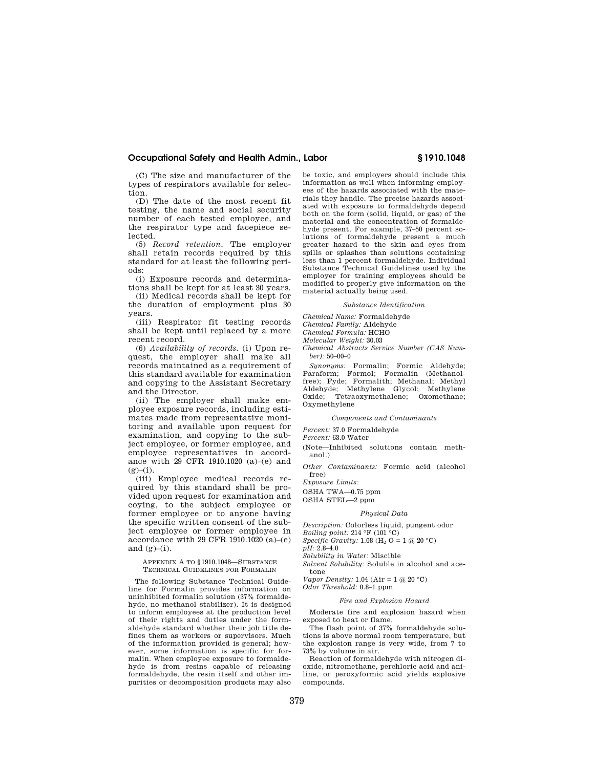(C) The size and manufacturer of the types of respirators available for selection.

(D) The date of the most recent fit testing, the name and social security number of each tested employee, and the respirator type and facepiece selected.

(5) *Record retention.* The employer shall retain records required by this standard for at least the following periods:

(i) Exposure records and determinations shall be kept for at least 30 years.

(ii) Medical records shall be kept for the duration of employment plus 30 years.

(iii) Respirator fit testing records shall be kept until replaced by a more recent record.

(6) *Availability of records.* (i) Upon request, the employer shall make all records maintained as a requirement of this standard available for examination and copying to the Assistant Secretary and the Director.

(ii) The employer shall make employee exposure records, including estimates made from representative monitoring and available upon request for examination, and copying to the subject employee, or former employee, and employee representatives in accordance with 29 CFR 1910.1020 (a)–(e) and  $(g)$ – $(i)$ .

(iii) Employee medical records required by this standard shall be provided upon request for examination and coying, to the subject employee or former employee or to anyone having the specific written consent of the subject employee or former employee in accordance with 29 CFR 1910.1020 (a)–(e) and  $(g)$ – $(i)$ .

APPENDIX A TO §1910.1048—SUBSTANCE TECHNICAL GUIDELINES FOR FORMALIN

The following Substance Technical Guideline for Formalin provides information on uninhibited formalin solution (37% formaldehyde, no methanol stabilizer). It is designed to inform employees at the production level of their rights and duties under the formaldehyde standard whether their job title defines them as workers or supervisors. Much of the information provided is general; however, some information is specific for formalin. When employee exposure to formaldehyde is from resins capable of releasing formaldehyde, the resin itself and other impurities or decomposition products may also be toxic, and employers should include this information as well when informing employees of the hazards associated with the materials they handle. The precise hazards associated with exposure to formaldehyde depend both on the form (solid, liquid, or gas) of the material and the concentration of formaldehyde present. For example, 37–50 percent solutions of formaldehyde present a much greater hazard to the skin and eyes from spills or splashes than solutions containing less than 1 percent formaldehyde. Individual Substance Technical Guidelines used by the employer for training employees should be modified to properly give information on the material actually being used.

# *Substance Identification*

*Chemical Name:* Formaldehyde

*Chemical Family:* Aldehyde

*Chemical Formula:* HCHO

*Molecular Weight:* 30.03

*Chemical Abstracts Service Number (CAS Number):* 50–00–0

*Synonyms:* Formalin; Formic Aldehyde; Paraform; Formol; Formalin (Methanolfree); Fyde; Formalith; Methanal; Methyl Aldehyde; Methylene Glycol; Methylene Oxide; Tetraoxymethalene; Oxomethane; Oxymethylene

*Components and Contaminants* 

*Percent:* 37.0 Formaldehyde

*Percent:* 63.0 Water

(Note—Inhibited solutions contain meth-

anol.)

*Other Contaminants:* Formic acid (alcohol free)

*Exposure Limits:* 

OSHA TWA—0.75 ppm

OSHA STEL—2 ppm

## *Physical Data*

*Description:* Colorless liquid, pungent odor

*Boiling point:* 214 °F (101 °C)

*Specific Gravity:* 1.08 (H<sub>2</sub> O = 1 @ 20 °C)

*pH:* 2.8–4.0

*Solubility in Water:* Miscible

*Solvent Solubility:* Soluble in alcohol and acetone

*Vapor Density:* **1.04** (Air = 1.@ 20 °C)

*Odor Threshold:* 0.8–1 ppm

# *Fire and Explosion Hazard*

Moderate fire and explosion hazard when exposed to heat or flame.

The flash point of 37% formaldehyde solutions is above normal room temperature, but the explosion range is very wide, from 7 to 73% by volume in air.

Reaction of formaldehyde with nitrogen dioxide, nitromethane, perchloric acid and aniline, or peroxyformic acid yields explosive compounds.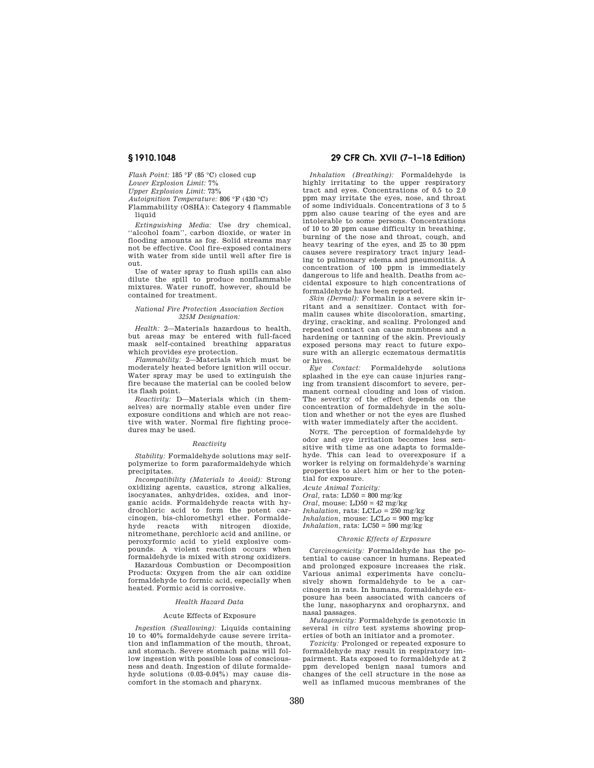*Flash Point:* 185 °F (85 °C) closed cup

*Lower Explosion Limit:* 7%

*Upper Explosion Limit:* 73%

*Autoignition Temperature:* 806 °F (430 °C)

Flammability (OSHA): Category 4 flammable liquid

*Extinguishing Media:* Use dry chemical, ''alcohol foam'', carbon dioxide, or water in flooding amounts as fog. Solid streams may not be effective. Cool fire-exposed containers with water from side until well after fire is out.

Use of water spray to flush spills can also dilute the spill to produce nonflammable mixtures. Water runoff, however, should be contained for treatment.

### *National Fire Protection Association Section 325M Designation:*

*Health:* 2—Materials hazardous to health, but areas may be entered with full-faced mask self-contained breathing apparatus which provides eye protection.

*Flammability:* 2—Materials which must be moderately heated before ignition will occur. Water spray may be used to extinguish the fire because the material can be cooled below its flash point.

*Reactivity:* D—Materials which (in themselves) are normally stable even under fire exposure conditions and which are not reactive with water. Normal fire fighting procedures may be used.

### *Reactivity*

*Stability:* Formaldehyde solutions may selfpolymerize to form paraformaldehyde which precipitates.

*Incompatibility (Materials to Avoid):* Strong oxidizing agents, caustics, strong alkalies, isocyanates, anhydrides, oxides, and inorganic acids. Formaldehyde reacts with hydrochloric acid to form the potent carcinogen, bis-chloromethyl ether. Formaldehyde reacts with nitrogen dioxide, nitromethane, perchloric acid and aniline, or peroxyformic acid to yield explosive compounds. A violent reaction occurs when formaldehyde is mixed with strong oxidizers.

Hazardous Combustion or Decomposition Products: Oxygen from the air can oxidize formaldehyde to formic acid, especially when heated. Formic acid is corrosive.

# *Health Hazard Data*

### Acute Effects of Exposure

*Ingestion (Swallowing):* Liquids containing 10 to 40% formaldehyde cause severe irritation and inflammation of the mouth, throat, and stomach. Severe stomach pains will follow ingestion with possible loss of consciousness and death. Ingestion of dilute formaldehyde solutions (0.03–0.04%) may cause discomfort in the stomach and pharynx.

# **§ 1910.1048 29 CFR Ch. XVII (7–1–18 Edition)**

*Inhalation (Breathing):* Formaldehyde is highly irritating to the upper respiratory tract and eyes. Concentrations of 0.5 to 2.0 ppm may irritate the eyes, nose, and throat of some individuals. Concentrations of 3 to 5 ppm also cause tearing of the eyes and are intolerable to some persons. Concentrations of 10 to 20 ppm cause difficulty in breathing, burning of the nose and throat, cough, and heavy tearing of the eyes, and 25 to 30 ppm causes severe respiratory tract injury leading to pulmonary edema and pneumonitis. A concentration of 100 ppm is immediately dangerous to life and health. Deaths from accidental exposure to high concentrations of formaldehyde have been reported.

*Skin (Dermal):* Formalin is a severe skin irritant and a sensitizer. Contact with formalin causes white discoloration, smarting, drying, cracking, and scaling. Prolonged and repeated contact can cause numbness and a hardening or tanning of the skin. Previously exposed persons may react to future exposure with an allergic eczematous dermatitis or hives.

*Eye Contact:* Formaldehyde solutions splashed in the eye can cause injuries ranging from transient discomfort to severe, permanent corneal clouding and loss of vision. The severity of the effect depends on the concentration of formaldehyde in the solution and whether or not the eyes are flushed with water immediately after the accident.

NOTE. The perception of formaldehyde by odor and eye irritation becomes less sensitive with time as one adapts to formaldehyde. This can lead to overexposure if a worker is relying on formaldehyde's warning properties to alert him or her to the potential for exposure.

*Acute Animal Toxicity:* 

*Oral,* rats: LD50 = 800 mg/kg *Oral,* mouse: LD50 = 42 mg/kg *Inhalation,* rats: LCLo = 250 mg/kg *Inhalation,* mouse: LCLo = 900 mg/kg *Inhalation, rats: LC50 = 590 mg/kg* 

## *Chronic Effects of Exposure*

*Carcinogenicity:* Formaldehyde has the potential to cause cancer in humans. Repeated and prolonged exposure increases the risk. Various animal experiments have conclusively shown formaldehyde to be a carcinogen in rats. In humans, formaldehyde exposure has been associated with cancers of the lung, nasopharynx and oropharynx, and nasal passages.

*Mutagenicity:* Formaldehyde is genotoxic in several *in vitro* test systems showing properties of both an initiator and a promoter.

*Toxicity:* Prolonged or repeated exposure to formaldehyde may result in respiratory impairment. Rats exposed to formaldehyde at 2 ppm developed benign nasal tumors and changes of the cell structure in the nose as well as inflamed mucous membranes of the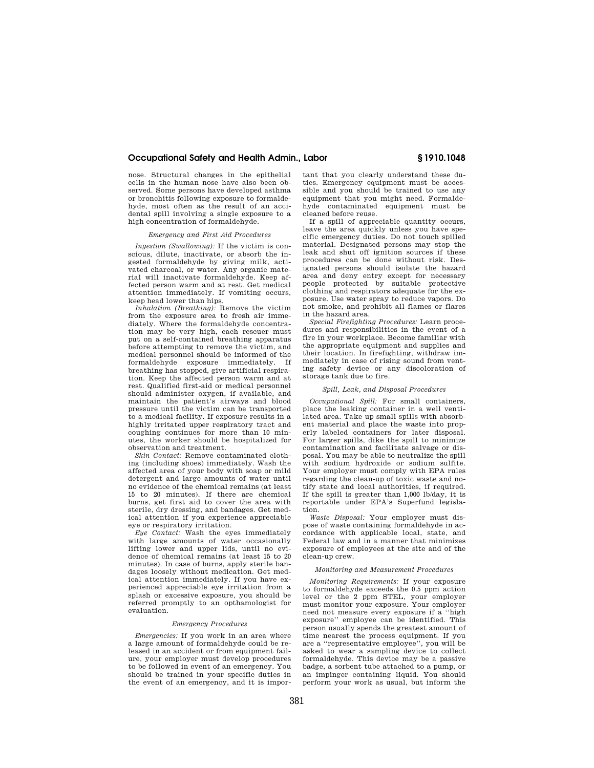nose. Structural changes in the epithelial cells in the human nose have also been observed. Some persons have developed asthma or bronchitis following exposure to formaldehyde, most often as the result of an accidental spill involving a single exposure to a high concentration of formaldehyde.

## *Emergency and First Aid Procedures*

*Ingestion (Swallowing):* If the victim is conscious, dilute, inactivate, or absorb the ingested formaldehyde by giving milk, activated charcoal, or water. Any organic material will inactivate formaldehyde. Keep affected person warm and at rest. Get medical attention immediately. If vomiting occurs, keep head lower than hips.

*Inhalation (Breathing):* Remove the victim from the exposure area to fresh air immediately. Where the formaldehyde concentration may be very high, each rescuer must put on a self-contained breathing apparatus before attempting to remove the victim, and medical personnel should be informed of the formaldehyde exposure immediately. If breathing has stopped, give artificial respiration. Keep the affected person warm and at rest. Qualified first-aid or medical personnel should administer oxygen, if available, and maintain the patient's airways and blood pressure until the victim can be transported to a medical facility. If exposure results in a highly irritated upper respiratory tract and coughing continues for more than 10 minutes, the worker should be hospitalized for observation and treatment.

*Skin Contact:* Remove contaminated clothing (including shoes) immediately. Wash the affected area of your body with soap or mild detergent and large amounts of water until no evidence of the chemical remains (at least 15 to 20 minutes). If there are chemical burns, get first aid to cover the area with sterile, dry dressing, and bandages. Get medical attention if you experience appreciable eye or respiratory irritation.

*Eye Contact:* Wash the eyes immediately with large amounts of water occasionally lifting lower and upper lids, until no evidence of chemical remains (at least 15 to 20 minutes). In case of burns, apply sterile bandages loosely without medication. Get medical attention immediately. If you have experienced appreciable eye irritation from a splash or excessive exposure, you should be referred promptly to an opthamologist for evaluation.

## *Emergency Procedures*

*Emergencies:* If you work in an area where a large amount of formaldehyde could be released in an accident or from equipment failure, your employer must develop procedures to be followed in event of an emergency. You should be trained in your specific duties in the event of an emergency, and it is impor-

tant that you clearly understand these duties. Emergency equipment must be accessible and you should be trained to use any equipment that you might need. Formaldehyde contaminated equipment must be cleaned before reuse.

If a spill of appreciable quantity occurs, leave the area quickly unless you have specific emergency duties. Do not touch spilled material. Designated persons may stop the leak and shut off ignition sources if these procedures can be done without risk. Designated persons should isolate the hazard area and deny entry except for necessary people protected by suitable protective clothing and respirators adequate for the exposure. Use water spray to reduce vapors. Do not smoke, and prohibit all flames or flares in the hazard area.

*Special Firefighting Procedures:* Learn procedures and responsibilities in the event of a fire in your workplace. Become familiar with the appropriate equipment and supplies and their location. In firefighting, withdraw immediately in case of rising sound from venting safety device or any discoloration of storage tank due to fire.

# *Spill, Leak, and Disposal Procedures*

*Occupational Spill:* For small containers, place the leaking container in a well ventilated area. Take up small spills with absorbent material and place the waste into properly labeled containers for later disposal. For larger spills, dike the spill to minimize contamination and facilitate salvage or disposal. You may be able to neutralize the spill with sodium hydroxide or sodium sulfite. Your employer must comply with EPA rules regarding the clean-up of toxic waste and notify state and local authorities, if required. If the spill is greater than 1,000 lb/day, it is reportable under EPA's Superfund legislation.

*Waste Disposal:* Your employer must dispose of waste containing formaldehyde in accordance with applicable local, state, and Federal law and in a manner that minimizes exposure of employees at the site and of the clean-up crew.

## *Monitoring and Measurement Procedures*

*Monitoring Requirements:* If your exposure to formaldehyde exceeds the 0.5 ppm action level or the 2 ppm STEL, your employer must monitor your exposure. Your employer need not measure every exposure if a ''high exposure'' employee can be identified. This person usually spends the greatest amount of time nearest the process equipment. If you are a ''representative employee'', you will be asked to wear a sampling device to collect formaldehyde. This device may be a passive badge, a sorbent tube attached to a pump, or an impinger containing liquid. You should perform your work as usual, but inform the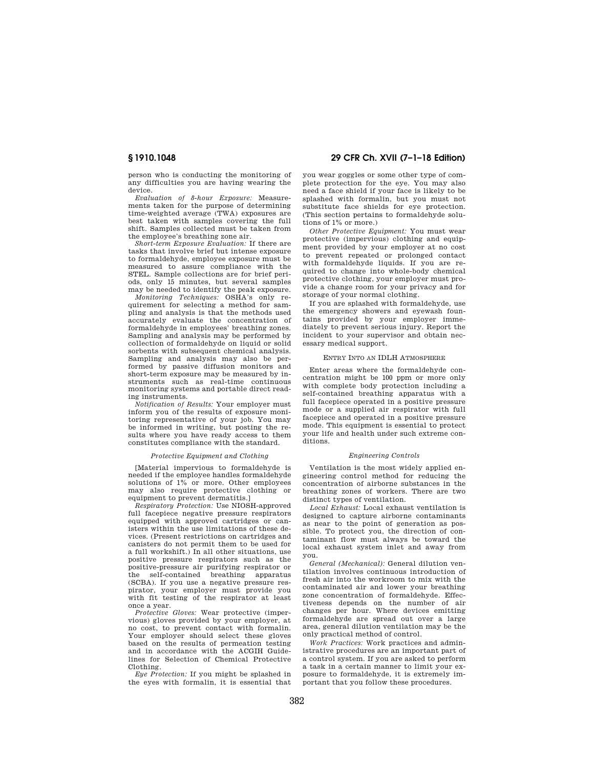person who is conducting the monitoring of any difficulties you are having wearing the device.

*Evaluation of 8-hour Exposure:* Measurements taken for the purpose of determining time-weighted average (TWA) exposures are best taken with samples covering the full shift. Samples collected must be taken from the employee's breathing zone air.

*Short-term Exposure Evaluation:* If there are tasks that involve brief but intense exposure to formaldehyde, employee exposure must be measured to assure compliance with the STEL. Sample collections are for brief periods, only 15 minutes, but several samples may be needed to identify the peak exposure.

*Monitoring Techniques:* OSHA's only requirement for selecting a method for sampling and analysis is that the methods used accurately evaluate the concentration of formaldehyde in employees' breathing zones. Sampling and analysis may be performed by collection of formaldehyde on liquid or solid sorbents with subsequent chemical analysis. Sampling and analysis may also be performed by passive diffusion monitors and short-term exposure may be measured by instruments such as real-time continuous monitoring systems and portable direct reading instruments.

*Notification of Results:* Your employer must inform you of the results of exposure monitoring representative of your job. You may be informed in writing, but posting the results where you have ready access to them constitutes compliance with the standard.

### *Protective Equipment and Clothing*

[Material impervious to formaldehyde is needed if the employee handles formaldehyde solutions of 1% or more. Other employees may also require protective clothing or equipment to prevent dermatitis.]

*Respiratory Protection:* Use NIOSH-approved full facepiece negative pressure respirators equipped with approved cartridges or canisters within the use limitations of these devices. (Present restrictions on cartridges and canisters do not permit them to be used for a full workshift.) In all other situations, use positive pressure respirators such as the positive-pressure air purifying respirator or the self-contained breathing apparatus (SCBA). If you use a negative pressure respirator, your employer must provide you with fit testing of the respirator at least once a year.

*Protective Gloves:* Wear protective (impervious) gloves provided by your employer, at no cost, to prevent contact with formalin. Your employer should select these gloves based on the results of permeation testing and in accordance with the ACGIH Guidelines for Selection of Chemical Protective Clothing.

*Eye Protection:* If you might be splashed in the eyes with formalin, it is essential that

# **§ 1910.1048 29 CFR Ch. XVII (7–1–18 Edition)**

you wear goggles or some other type of complete protection for the eye. You may also need a face shield if your face is likely to be splashed with formalin, but you must not substitute face shields for eye protection. (This section pertains to formaldehyde solutions of 1% or more.)

*Other Protective Equipment:* You must wear protective (impervious) clothing and equipment provided by your employer at no cost to prevent repeated or prolonged contact with formaldehyde liquids. If you are required to change into whole-body chemical protective clothing, your employer must provide a change room for your privacy and for storage of your normal clothing.

If you are splashed with formaldehyde, use the emergency showers and eyewash fountains provided by your employer immediately to prevent serious injury. Report the incident to your supervisor and obtain necessary medical support.

### ENTRY INTO AN IDLH ATMOSPHERE

Enter areas where the formaldehyde concentration might be 100 ppm or more only with complete body protection including a self-contained breathing apparatus with a full facepiece operated in a positive pressure mode or a supplied air respirator with full facepiece and operated in a positive pressure mode. This equipment is essential to protect your life and health under such extreme conditions.

### *Engineering Controls*

Ventilation is the most widely applied engineering control method for reducing the concentration of airborne substances in the breathing zones of workers. There are two distinct types of ventilation.

*Local Exhaust:* Local exhaust ventilation is designed to capture airborne contaminants as near to the point of generation as possible. To protect you, the direction of contaminant flow must always be toward the local exhaust system inlet and away from you.

*General (Mechanical):* General dilution ventilation involves continuous introduction of fresh air into the workroom to mix with the contaminated air and lower your breathing zone concentration of formaldehyde. Effectiveness depends on the number of air changes per hour. Where devices emitting formaldehyde are spread out over a large area, general dilution ventilation may be the only practical method of control.

*Work Practices:* Work practices and administrative procedures are an important part of a control system. If you are asked to perform a task in a certain manner to limit your exposure to formaldehyde, it is extremely important that you follow these procedures.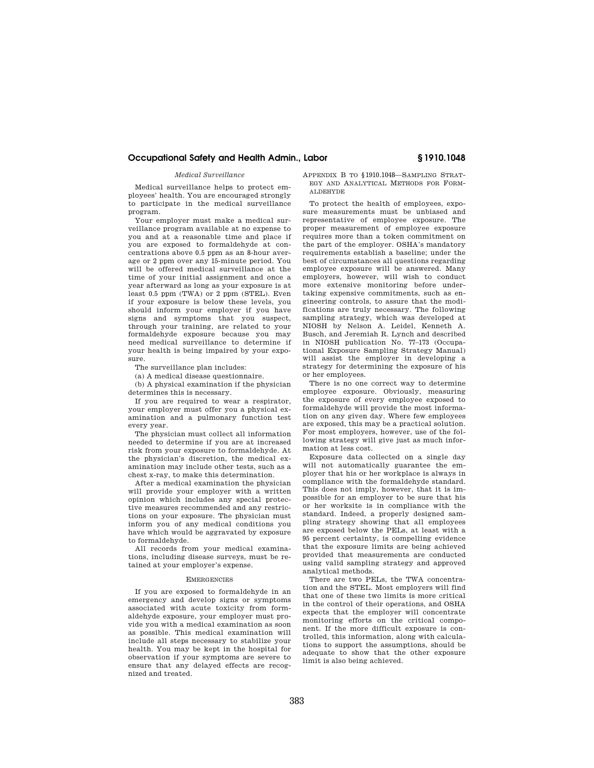# *Medical Surveillance*

Medical surveillance helps to protect employees' health. You are encouraged strongly to participate in the medical surveillance program.

Your employer must make a medical surveillance program available at no expense to you and at a reasonable time and place if you are exposed to formaldehyde at concentrations above 0.5 ppm as an 8-hour average or 2 ppm over any 15-minute period. You will be offered medical surveillance at the time of your initial assignment and once a year afterward as long as your exposure is at least 0.5 ppm (TWA) or 2 ppm (STEL). Even if your exposure is below these levels, you should inform your employer if you have signs and symptoms that you suspect, through your training, are related to your formaldehyde exposure because you may need medical surveillance to determine if your health is being impaired by your exposure.

The surveillance plan includes:

(a) A medical disease questionnaire.

(b) A physical examination if the physician determines this is necessary.

If you are required to wear a respirator, your employer must offer you a physical examination and a pulmonary function test every year.

The physician must collect all information needed to determine if you are at increased risk from your exposure to formaldehyde. At the physician's discretion, the medical examination may include other tests, such as a chest x-ray, to make this determination.

After a medical examination the physician will provide your employer with a written opinion which includes any special protective measures recommended and any restrictions on your exposure. The physician must inform you of any medical conditions you have which would be aggravated by exposure to formaldehyde.

All records from your medical examinations, including disease surveys, must be retained at your employer's expense.

### **EMERGENCIES**

If you are exposed to formaldehyde in an emergency and develop signs or symptoms associated with acute toxicity from formaldehyde exposure, your employer must provide you with a medical examination as soon as possible. This medical examination will include all steps necessary to stabilize your health. You may be kept in the hospital for observation if your symptoms are severe to ensure that any delayed effects are recognized and treated.

APPENDIX B TO §1910.1048—SAMPLING STRAT-EGY AND ANALYTICAL METHODS FOR FORM-ALDEHYDE

To protect the health of employees, exposure measurements must be unbiased and representative of employee exposure. The proper measurement of employee exposure requires more than a token commitment on the part of the employer. OSHA's mandatory requirements establish a baseline; under the best of circumstances all questions regarding employee exposure will be answered. Many employers, however, will wish to conduct more extensive monitoring before undertaking expensive commitments, such as engineering controls, to assure that the modifications are truly necessary. The following sampling strategy, which was developed at NIOSH by Nelson A. Leidel, Kenneth A. Busch, and Jeremiah R. Lynch and described in NIOSH publication No. 77–173 (Occupational Exposure Sampling Strategy Manual) will assist the employer in developing a strategy for determining the exposure of his or her employees.

There is no one correct way to determine employee exposure. Obviously, measuring the exposure of every employee exposed to formaldehyde will provide the most information on any given day. Where few employees are exposed, this may be a practical solution. For most employers, however, use of the following strategy will give just as much information at less cost.

Exposure data collected on a single day will not automatically guarantee the employer that his or her workplace is always in compliance with the formaldehyde standard. This does not imply, however, that it is impossible for an employer to be sure that his or her worksite is in compliance with the standard. Indeed, a properly designed sampling strategy showing that all employees are exposed below the PELs, at least with a 95 percent certainty, is compelling evidence that the exposure limits are being achieved provided that measurements are conducted using valid sampling strategy and approved analytical methods.

There are two PELs, the TWA concentration and the STEL. Most employers will find that one of these two limits is more critical in the control of their operations, and OSHA expects that the employer will concentrate monitoring efforts on the critical component. If the more difficult exposure is controlled, this information, along with calculations to support the assumptions, should be adequate to show that the other exposure limit is also being achieved.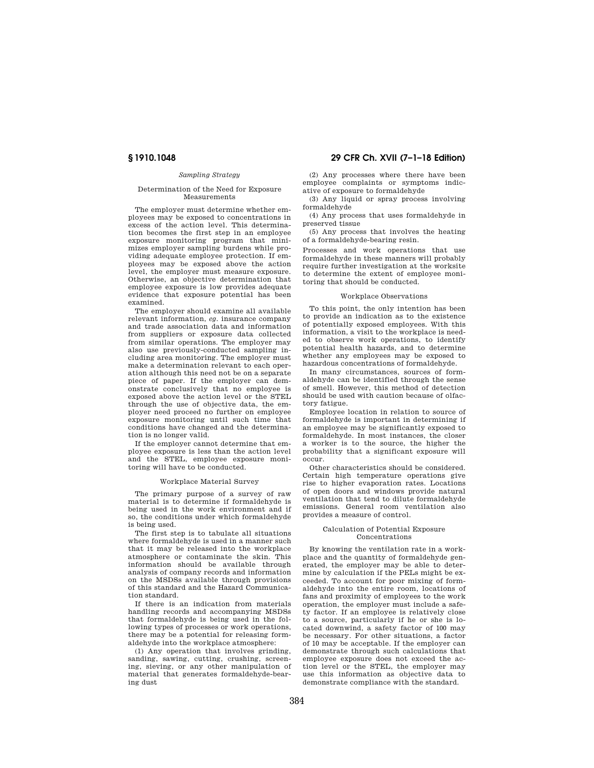# *Sampling Strategy*

### Determination of the Need for Exposure Measurements

The employer must determine whether employees may be exposed to concentrations in excess of the action level. This determination becomes the first step in an employee exposure monitoring program that minimizes employer sampling burdens while providing adequate employee protection. If employees may be exposed above the action level, the employer must measure exposure. Otherwise, an objective determination that employee exposure is low provides adequate evidence that exposure potential has been examined.

The employer should examine all available relevant information, *eg.* insurance company and trade association data and information from suppliers or exposure data collected from similar operations. The employer may also use previously-conducted sampling including area monitoring. The employer must make a determination relevant to each operation although this need not be on a separate piece of paper. If the employer can demonstrate conclusively that no employee is exposed above the action level or the STEL through the use of objective data, the employer need proceed no further on employee exposure monitoring until such time that conditions have changed and the determination is no longer valid.

If the employer cannot determine that employee exposure is less than the action level and the STEL, employee exposure monitoring will have to be conducted.

## Workplace Material Survey

The primary purpose of a survey of raw material is to determine if formaldehyde is being used in the work environment and if so, the conditions under which formaldehyde is being used.

The first step is to tabulate all situations where formaldehyde is used in a manner such that it may be released into the workplace atmosphere or contaminate the skin. This information should be available through analysis of company records and information on the MSDSs available through provisions of this standard and the Hazard Communication standard.

If there is an indication from materials handling records and accompanying MSDSs that formaldehyde is being used in the following types of processes or work operations, there may be a potential for releasing formaldehyde into the workplace atmosphere:

(1) Any operation that involves grinding, sanding, sawing, cutting, crushing, screening, sieving, or any other manipulation of material that generates formaldehyde-bearing dust

**§ 1910.1048 29 CFR Ch. XVII (7–1–18 Edition)** 

(2) Any processes where there have been employee complaints or symptoms indicative of exposure to formaldehyde

(3) Any liquid or spray process involving formaldehyde

(4) Any process that uses formaldehyde in preserved tissue

(5) Any process that involves the heating of a formaldehyde-bearing resin.

Processes and work operations that use formaldehyde in these manners will probably require further investigation at the worksite to determine the extent of employee monitoring that should be conducted.

### Workplace Observations

To this point, the only intention has been to provide an indication as to the existence of potentially exposed employees. With this information, a visit to the workplace is needed to observe work operations, to identify potential health hazards, and to determine whether any employees may be exposed to hazardous concentrations of formaldehyde.

In many circumstances, sources of formaldehyde can be identified through the sense of smell. However, this method of detection should be used with caution because of olfactory fatigue.

Employee location in relation to source of formaldehyde is important in determining if an employee may be significantly exposed to formaldehyde. In most instances, the closer a worker is to the source, the higher the probability that a significant exposure will occur.

Other characteristics should be considered. Certain high temperature operations give rise to higher evaporation rates. Locations of open doors and windows provide natural ventilation that tend to dilute formaldehyde emissions. General room ventilation also provides a measure of control.

## Calculation of Potential Exposure Concentrations

By knowing the ventilation rate in a workplace and the quantity of formaldehyde generated, the employer may be able to determine by calculation if the PELs might be exceeded. To account for poor mixing of formaldehyde into the entire room, locations of fans and proximity of employees to the work operation, the employer must include a safety factor. If an employee is relatively close to a source, particularly if he or she is located downwind, a safety factor of 100 may be necessary. For other situations, a factor of 10 may be acceptable. If the employer can demonstrate through such calculations that employee exposure does not exceed the action level or the STEL, the employer may use this information as objective data to demonstrate compliance with the standard.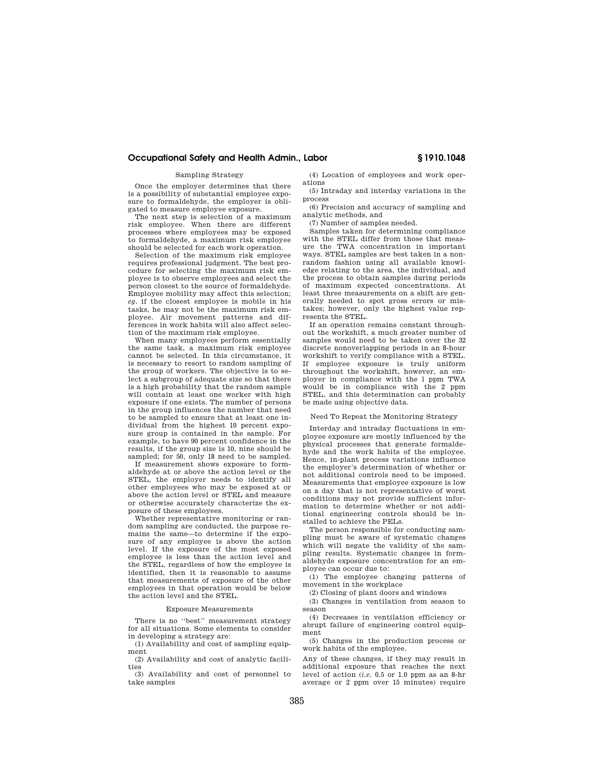# Sampling Strategy

Once the employer determines that there is a possibility of substantial employee exposure to formaldehyde, the employer is obligated to measure employee exposure.

The next step is selection of a maximum risk employee. When there are different processes where employees may be exposed to formaldehyde, a maximum risk employee should be selected for each work operation.

Selection of the maximum risk employee requires professional judgment. The best procedure for selecting the maximum risk employee is to observe employees and select the person closest to the source of formaldehyde. Employee mobility may affect this selection; *eg.* if the closest employee is mobile in his tasks, he may not be the maximum risk employee. Air movement patterns and differences in work habits will also affect selection of the maximum risk employee.

When many employees perform essentially the same task, a maximum risk employee cannot be selected. In this circumstance, it is necessary to resort to random sampling of the group of workers. The objective is to select a subgroup of adequate size so that there is a high probability that the random sample will contain at least one worker with high exposure if one exists. The number of persons in the group influences the number that need to be sampled to ensure that at least one individual from the highest 10 percent exposure group is contained in the sample. For example, to have 90 percent confidence in the results, if the group size is 10, nine should be sampled; for 50, only 18 need to be sampled.

If measurement shows exposure to formaldehyde at or above the action level or the STEL, the employer needs to identify all other employees who may be exposed at or above the action level or STEL and measure or otherwise accurately characterize the exposure of these employees.

Whether representative monitoring or random sampling are conducted, the purpose remains the same—to determine if the exposure of any employee is above the action level. If the exposure of the most exposed employee is less than the action level and the STEL, regardless of how the employee is identified, then it is reasonable to assume that measurements of exposure of the other employees in that operation would be below the action level and the STEL.

## Exposure Measurements

There is no ''best'' measurement strategy for all situations. Some elements to consider in developing a strategy are:

(1) Availability and cost of sampling equipment

(2) Availability and cost of analytic facilities

(3) Availability and cost of personnel to take samples

(4) Location of employees and work operations

(5) Intraday and interday variations in the process

(6) Precision and accuracy of sampling and analytic methods, and

(7) Number of samples needed.

Samples taken for determining compliance with the STEL differ from those that measure the TWA concentration in important ways. STEL samples are best taken in a nonrandom fashion using all available knowledge relating to the area, the individual, and the process to obtain samples during periods of maximum expected concentrations. At least three measurements on a shift are generally needed to spot gross errors or mistakes; however, only the highest value represents the STEL.

If an operation remains constant throughout the workshift, a much greater number of samples would need to be taken over the 32 discrete nonoverlapping periods in an 8-hour workshift to verify compliance with a STEL. If employee exposure is truly uniform throughout the workshift, however, an employer in compliance with the l ppm TWA would be in compliance with the 2 ppm STEL, and this determination can probably be made using objective data.

## Need To Repeat the Monitoring Strategy

Interday and intraday fluctuations in employee exposure are mostly influenced by the physical processes that generate formaldehyde and the work habits of the employee. Hence, in-plant process variations influence the employer's determination of whether or not additional controls need to be imposed. Measurements that employee exposure is low on a day that is not representative of worst conditions may not provide sufficient information to determine whether or not additional engineering controls should be installed to achieve the PELs.

The person responsible for conducting sampling must be aware of systematic changes which will negate the validity of the sampling results. Systematic changes in formaldehyde exposure concentration for an employee can occur due to:

(1) The employee changing patterns of movement in the workplace

(2) Closing of plant doors and windows

(3) Changes in ventilation from season to season

(4) Decreases in ventilation efficiency or abrupt failure of engineering control equipment

(5) Changes in the production process or work habits of the employee.

Any of these changes, if they may result in additional exposure that reaches the next level of action (*i.e.* 0.5 or 1.0 ppm as an 8-hr average or 2 ppm over 15 minutes) require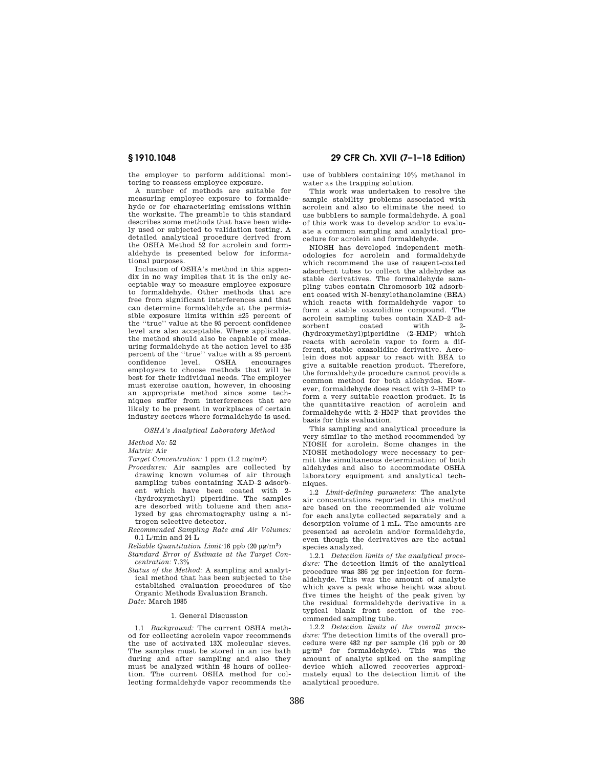the employer to perform additional monitoring to reassess employee exposure.

A number of methods are suitable for measuring employee exposure to formaldehyde or for characterizing emissions within the worksite. The preamble to this standard describes some methods that have been widely used or subjected to validation testing. A detailed analytical procedure derived from the OSHA Method 52 for acrolein and formaldehyde is presented below for informational purposes.

Inclusion of OSHA's method in this appendix in no way implies that it is the only acceptable way to measure employee exposure to formaldehyde. Other methods that are free from significant interferences and that can determine formaldehyde at the permissible exposure limits within ±25 percent of the ''true'' value at the 95 percent confidence level are also acceptable. Where applicable, the method shou1d a1so be capab1e of measuring formaldehyde at the action level to ±35 percent of the ''true'' value with a 95 percent confidence level. OSHA encourages emp1oyers to choose methods that will be best for their individual needs. The employer must exercise caution, however, in choosing an appropriate method since some techniques suffer from interferences that are likely to be present in workplaces of certain industry sectors where formaldehyde is used.

*OSHA's Analytical Laboratory Method* 

*Method No:* 52

*Matrix:* Air

- *Target Concentration:* 1 ppm (1.2 mg/m3)
- *Procedures:* Air samples are collected by drawing known volumes of air through sampling tubes containing XAD–2 adsorbent which have been coated with 2- (hydroxymethyl) piperidine. The samples are desorbed with toluene and then analyzed by gas chromatography using a nitrogen selective detector.
- *Recommended Sampling Rate and Air Volumes:*  0.1 L/min and 24 L

*Reliable Quantitation Limit:*16 ppb (20 μg/m3)

- *Standard Error of Estimate at the Target Concentration:* 7.3%
- *Status of the Method:* A sampling and analytical method that has been subjected to the established evaluation procedures of the Organic Methods Evaluation Branch.

*Date:* March 1985

# 1. General Discussion

1.1 *Background:* The current OSHA method for collecting acrolein vapor recommends the use of activated 13X molecular sieves. The samples must be stored in an ice bath during and after sampling and also they must be analyzed within 48 hours of collection. The current OSHA method for collecting formaldehyde vapor recommends the

**§ 1910.1048 29 CFR Ch. XVII (7–1–18 Edition)** 

use of bubblers containing 10% methanol in water as the trapping solution.

This work was undertaken to resolve the sample stability problems associated with acrolein and also to eliminate the need to use bubb1ers to sample formaldehyde. A goal of this work was to develop and/or to evaluate a common sampling and analytical procedure for acrolein and formaldehyde.

NIOSH has developed independent methodologies for acrolein and formaldehyde which recommend the use of reagent-coated adsorbent tubes to collect the aldehydes as stable derivatives. The formaldehyde sampling tubes contain Chromosorb 102 adsorbent coated with N-benzylethanolamine (BEA) which reacts with formaldehyde vapor to form a stable oxazolidine compound. The acrolein sampling tubes contain XAD–2 adsorbent coated with 2- (hydroxymethyl)piperidine (2–HMP) which reacts with acrolein vapor to form a different, stable oxazolidine derivative. Acrolein does not appear to react with BEA to give a suitable reaction product. Therefore, the formaldehyde procedure cannot provide a common method for both aldehydes. However, formaldehyde does react with 2–HMP to form a very suitable reaction product. It is the quantitative reaction of acrolein and formaldehyde with 2–HMP that provides the basis for this evaluation.

This sampling and analytical procedure is very similar to the method recommended by NIOSH for acrolein. Some changes in the NIOSH methodology were necessary to permit the simultaneous determination of both aldehydes and also to accommodate OSHA laboratory equipment and analytical techniques.

1.2 *Limit-defining parameters:* The analyte air concentrations reported in this method are based on the recommended air volume for each analyte collected separately and a desorption volume of 1 mL. The amounts are presented as acrolein and/or formaldehyde, even though the derivatives are the actual species analyzed.

1.2.1 *Detection limits of the analytical procedure:* The detection limit of the analytical procedure was 386 pg per injection for formaldehyde. This was the amount of analyte which gave a peak whose height was about five times the height of the peak given by the residual formaldehyde derivative in a typical blank front section of the recommended sampling tube.

1.2.2 *Detection limits of the overall procedure:* The detection limits of the overall procedure were 482 ng per sample (16 ppb or 20 μg/m3 for formaldehyde). This was the amount of analyte spiked on the sampling device which allowed recoveries approximately equal to the detection limit of the analytical procedure.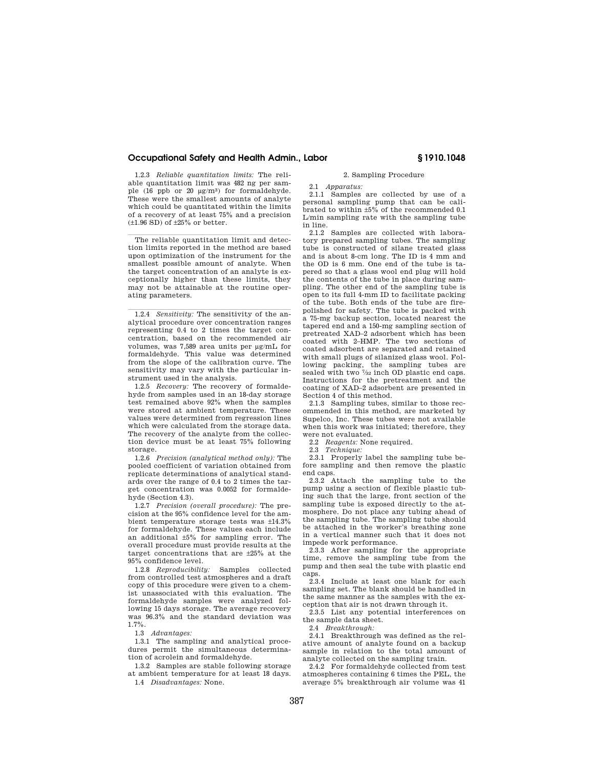1.2.3 *Reliable quantitation limits:* The reliable quantitation limit was 482 ng per sample (16 ppb or 20 μg/m3) for formaldehyde. These were the smallest amounts of analyte which could be quantitated within the limits of a recovery of at least 75% and a precision  $(\pm 1.96$  SD) of  $\pm 25\%$  or better.

The reliable quantitation limit and detection limits reported in the method are based upon optimization of the instrument for the smallest possible amount of analyte. When the target concentration of an analyte is exceptionally higher than these limits, they may not be attainable at the routine operating parameters.

1.2.4 *Sensitivity:* The sensitivity of the analytical procedure over concentration ranges representing 0.4 to 2 times the target concentration, based on the recommended air volumes, was 7,589 area units per μg/mL for formaldehyde. This value was determined from the slope of the calibration curve. The sensitivity may vary with the particular instrument used in the analysis.

1.2.5 *Recovery:* The recovery of formaldehyde from samples used in an 18-day storage test remained above 92% when the samples were stored at ambient temperature. These values were determined from regression lines which were calculated from the storage data. The recovery of the analyte from the collection device must be at least 75% following storage.

1.2.6 *Precision (analytical method only):* The pooled coefficient of variation obtained from replicate determinations of analytical standards over the range of 0.4 to 2 times the target concentration was 0.0052 for formaldehyde (Section 4.3).

1.2.7 *Precision (overall procedure):* The precision at the 95% confidence level for the ambient temperature storage tests was ±14.3% for formaldehyde. These values each include an additional ±5% for sampling error. The overall procedure must provide results at the target concentrations that are ±25% at the 95% confidence level.

1.2.8 *Reproducibility:* Samples collected from controlled test atmospheres and a draft copy of this procedure were given to a chemist unassociated with this evaluation. The formaldehyde samples were analyzed following 15 days storage. The average recovery was 96.3% and the standard deviation was 1.7%.

1.3 *Advantages:* 

1.3.1 The sampling and analytical procedures permit the simultaneous determination of acrolein and formaldehyde.

1.3.2 Samples are stable following storage at ambient temperature for at least 18 days.

1.4 *Disadvantages:* None.

# 2. Sampling Procedure

2.1 *Apparatus:* 

2.1.1 Samples are collected by use of a personal sampling pump that can be calibrated to within ±5% of the recommended 0.1 L/min sampling rate with the sampling tube in line.

2.1.2 Samples are collected with laboratory prepared sampling tubes. The sampling tube is constructed of silane treated glass and is about 8-cm long. The ID is 4 mm and the OD is 6 mm. One end of the tube is tapered so that a glass wool end plug will hold the contents of the tube in place during sampling. The other end of the sampling tube is open to its full 4-mm ID to facilitate packing of the tube. Both ends of the tube are firepolished for safety. The tube is packed with a 75-mg backup section, located nearest the tapered end and a 150-mg sampling section of pretreated XAD–2 adsorbent which has been coated with 2–HMP. The two sections of coated adsorbent are separated and retained with small plugs of silanized glass wool. Following packing, the sampling tubes are sealed with two  $\frac{7}{32}$  inch OD plastic end caps. Instructions for the pretreatment and the coating of XAD–2 adsorbent are presented in Section 4 of this method.

2.1.3 Sampling tubes, similar to those recommended in this method, are marketed by Supelco, Inc. These tubes were not available when this work was initiated; therefore, they were not evaluated.

2.2 *Reagents:* None required.

2.3 *Technique:* 

2.3.1 Properly label the sampling tube before sampling and then remove the plastic end caps.

2.3.2 Attach the sampling tube to the pump using a section of flexible plastic tubing such that the large, front section of the sampling tube is exposed directly to the atmosphere. Do not place any tubing ahead of the sampling tube. The sampling tube should be attached in the worker's breathing zone in a vertical manner such that it does not impede work performance.

2.3.3 After sampling for the appropriate time, remove the sampling tube from the pump and then seal the tube with plastic end caps.

2.3.4 Include at least one blank for each sampling set. The blank should be handled in the same manner as the samples with the exception that air is not drawn through it.

2.3.5 List any potential interferences on the sample data sheet.

2.4 *Breakthrough:* 

2.4.1 Breakthrough was defined as the relative amount of analyte found on a backup sample in relation to the total amount of analyte collected on the sampling train.

2.4.2 For formaldehyde collected from test atmospheres containing 6 times the PEL, the average 5% breakthrough air volume was 41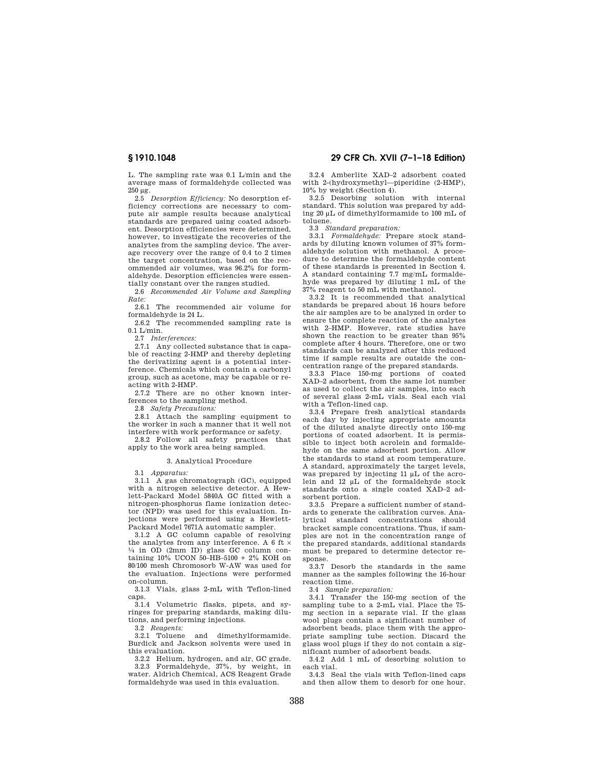L. The sampling rate was 0.1 L/min and the average mass of formaldehyde collected was 250 μg.

2.5 *Desorption Efficiency:* No desorption efficiency corrections are necessary to compute air sample results because analytical standards are prepared using coated adsorbent. Desorption efficiencies were determined, however, to investigate the recoveries of the analytes from the sampling device. The average recovery over the range of 0.4 to 2 times the target concentration, based on the recommended air volumes, was 96.2% for formaldehyde. Desorption efficiencies were essentially constant over the ranges studied.

2.6 *Recommended Air Volume and Sampling Rate:* 

2.6.1 The recommended air volume for formaldehyde is 24 L.

2.6.2 The recommended sampling rate is 0.1 L/min.

2.7 *Interferences:* 

2.7.1 Any collected substance that is capable of reacting 2-HMP and thereby depleting the derivatizing agent is a potential interference. Chemicals which contain a carbonyl group, such as acetone, may be capable or reacting with 2-HMP.

2.7.2 There are no other known interferences to the sampling method.

2.8 *Safety Precautions:* 

2.8.1 Attach the sampling equipment to the worker in such a manner that it well not interfere with work performance or safety.

2.8.2 Follow all safety practices that apply to the work area being sampled.

3. Analytical Procedure

# 3.1 *Apparatus:*

3.1.1 A gas chromatograph (GC), equipped with a nitrogen selective detector. A Hewlett-Packard Model 5840A GC fitted with a nitrogen-phosphorus flame ionization detector (NPD) was used for this evaluation. Injections were performed using a Hewlett-Packard Model 7671A automatic sampler.

3.1.2 A GC column capable of resolving<br>the analytes from any interference. A 6 ft  $\times$  $\frac{1}{4}$  in OD (2mm ID) glass GC column containing 10% UCON 50–HB–5100 + 2% KOH on 80/100 mesh Chromosorb W-AW was used for the evaluation. Injections were performed on-column.

3.1.3 Vials, glass 2-mL with Teflon-lined caps.

3.1.4 Volumetric flasks, pipets, and syringes for preparing standards, making dilutions, and performing injections.

3.2 *Reagents:*  and dimethylformamide. Burdick and Jackson solvents were used in this evaluation.

3.2.2 Helium, hydrogen, and air, GC grade. 3.2.3 Formaldehyde, 37%, by weight, in water. Aldrich Chemical, ACS Reagent Grade formaldehyde was used in this evaluation.

**§ 1910.1048 29 CFR Ch. XVII (7–1–18 Edition)** 

3.2.4 Amberlite XAD–2 adsorbent coated with 2-(hydroxymethyl—piperidine (2-HMP), 10% by weight (Section 4).

3.2.5 Desorbing solution with internal standard. This solution was prepared by adding 20 μL of dimethylformamide to 100 mL of toluene.

3.3 *Standard preparation:* 

3.3.1 *Formaldehyde:* Prepare stock standards by diluting known volumes of 37% formaldehyde solution with methanol. A procedure to determine the formaldehyde content of these standards is presented in Section 4. A standard containing 7.7 mg/mL formaldehyde was prepared by diluting 1 mL of the 37% reagent to 50 mL with methanol.

3.3.2 It is recommended that analytical standards be prepared about 16 hours before the air samples are to be analyzed in order to ensure the complete reaction of the analytes with 2–HMP. However, rate studies have shown the reaction to be greater than 95% complete after 4 hours. Therefore, one or two standards can be analyzed after this reduced time if sample results are outside the concentration range of the prepared standards.

3.3.3 Place 150-mg portions of coated XAD–2 adsorbent, from the same lot number as used to collect the air samples, into each of several glass 2-mL vials. Seal each vial with a Teflon-lined cap.

3.3.4 Prepare fresh analytical standards each day by injecting appropriate amounts of the diluted analyte directly onto 150-mg portions of coated adsorbent. It is permissible to inject both acrolein and formaldehyde on the same adsorbent portion. Allow the standards to stand at room temperature. A standard, approximately the target levels, was prepared by injecting 11 μL of the acrolein and 12 μL of the formaldehyde stock standards onto a single coated XAD–2 adsorbent portion.

3.3.5 Prepare a sufficient number of standards to generate the calibration curves. Analytical standard concentrations should bracket sample concentrations. Thus, if samples are not in the concentration range of the prepared standards, additional standards must be prepared to determine detector response.

3.3.7 Desorb the standards in the same manner as the samples following the 16-hour reaction time.

3.4 *Sample preparation:* 

3.4.1 Transfer the 150-mg section of the sampling tube to a 2-mL vial. Place the 75 mg section in a separate vial. If the glass wool plugs contain a significant number of adsorbent beads, place them with the appropriate sampling tube section. Discard the glass wool plugs if they do not contain a significant number of adsorbent beads.

3.4.2 Add 1 mL of desorbing solution to each vial.

3.4.3 Seal the vials with Teflon-lined caps and then allow them to desorb for one hour.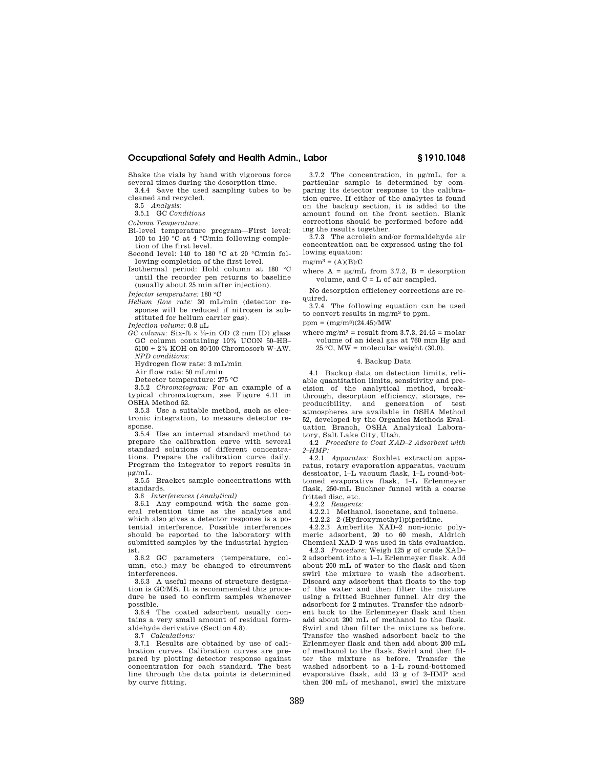Shake the vials by hand with vigorous force several times during the desorption time.

3.4.4 Save the used sampling tubes to be cleaned and recycled.

3.5 *Analysis:* 

3.5.1 GC *Conditions* 

*Column Temperature:* 

- Bi-level temperature program—First level: 100 to 140  $\degree$ C at 4  $\degree$ C/min following completion of the first level.
- Second level: 140 to 180 °C at 20 °C/min following completion of the first level.

Isothermal period: Hold column at 180 °C until the recorder pen returns to baseline (usually about 25 min after injection).

*Injector temperature:* 180 °C

*Helium flow rate:* 30 mL/min (detector response will be reduced if nitrogen is substituted for helium carrier gas).

*Injection volume:* 0.8 μL

*GC column:* Six-ft  $\times$  <sup>1</sup>/4-in OD (2 mm ID) glass GC column containing 10% UCON 50–HB– 5100 + 2% KOH on 80/100 Chromosorb W-AW. *NPD conditions:* 

Hydrogen flow rate: 3 mL/min

Air flow rate: 50 mL/min

Detector temperature: 275 °C

3.5.2 *Chromatogram:* For an example of a typical chromatogram, see Figure 4.11 in OSHA Method 52.

3.5.3 Use a suitable method, such as electronic integration, to measure detector response.

3.5.4 Use an internal standard method to prepare the calibration curve with several standard solutions of different concentrations. Prepare the calibration curve daily. Program the integrator to report results in μg/mL.

3.5.5 Bracket sample concentrations with standards.

3.6 *Interferences (Analytical)* 

3.6.1 Any compound with the same general retention time as the analytes and which also gives a detector response is a potential interference. Possible interferences should be reported to the laboratory with submitted samples by the industrial hygienist.

3.6.2 GC parameters (temperature, column, etc.) may be changed to circumvent interferences.

3.6.3 A useful means of structure designation is GC/MS. It is recommended this procedure be used to confirm samples whenever possible.

3.6.4 The coated adsorbent usually contains a very small amount of residual formaldehyde derivative (Section 4.8).

3.7 *Calculations:* 

3.7.1 Results are obtained by use of calibration curves. Calibration curves are prepared by plotting detector response against concentration for each standard. The best line through the data points is determined by curve fitting.

3.7.2 The concentration, in μg/mL, for a particular sample is determined by comparing its detector response to the calibration curve. If either of the analytes is found on the backup section, it is added to the amount found on the front section. Blank corrections should be performed before adding the results together.

3.7.3 The acrolein and/or formaldehyde air concentration can be expressed using the following equation:

 $me/m^3 = (A)(B)/C$ 

where  $A = \mu g/mL$  from 3.7.2,  $B =$  desorption volume, and C = L of air sampled.

No desorption efficiency corrections are required.

3.7.4 The following equation can be used to convert results in mg/m3 to ppm.

 $ppm = (mg/m^3)(24.45)/MW$ 

where  $mg/m^3$  = result from 3.7.3, 24.45 = molar volume of an ideal gas at 760 mm Hg and  $25 °C$ , MW = molecular weight  $(30.0)$ .

### 4. Backup Data

4.1 Backup data on detection limits, reliable quantitation limits, sensitivity and precision of the analytical method, breakthrough, desorption efficiency, storage, reproducibility, and generation of test atmospheres are available in OSHA Method 52, developed by the Organics Methods Evaluation Branch, OSHA Analytical Laboratory, Salt Lake City, Utah.

4.2 *Procedure to Coat XAD–2 Adsorbent with 2–HMP:* 

4.2.1 *Apparatus:* Soxhlet extraction apparatus, rotary evaporation apparatus, vacuum dessicator, 1–L vacuum flask, 1–L round-bottomed evaporative flask, 1–L Erlenmeyer flask, 250-mL Buchner funnel with a coarse fritted disc, etc.

4.2.2 *Reagents:* 

4.2.2.1 Methanol, isooctane, and toluene.

4.2.2.2 2-(Hydroxymethyl)piperidine.

4.2.2.3 Amberlite XAD–2 non-ionic polymeric adsorbent, 20 to 60 mesh, Aldrich Chemical XAD–2 was used in this evaluation.

4.2.3 *Procedure:* Weigh 125 g of crude XAD– 2 adsorbent into a 1–L Erlenmeyer flask. Add about 200 mL of water to the flask and then swirl the mixture to wash the adsorbent. Discard any adsorbent that floats to the top of the water and then filter the mixture using a fritted Buchner funnel. Air dry the adsorbent for 2 minutes. Transfer the adsorbent back to the Erlenmeyer flask and then add about 200 mL of methanol to the flask. Swirl and then filter the mixture as before. Transfer the washed adsorbent back to the Erlenmeyer flask and then add about 200 mL of methanol to the flask. Swirl and then filter the mixture as before. Transfer the washed adsorbent to a 1–L round-bottomed evaporative flask, add 13 g of 2–HMP and then 200 mL of methanol, swirl the mixture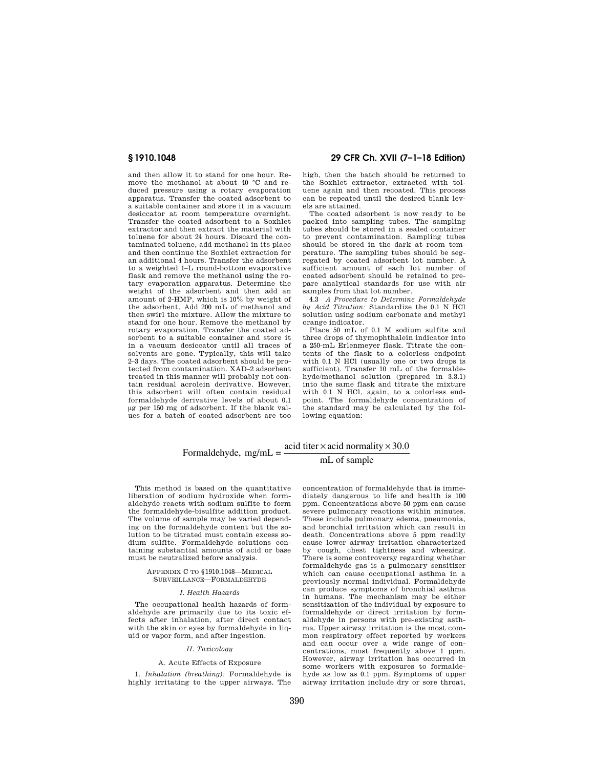and then allow it to stand for one hour. Remove the methanol at about 40 °C and reduced pressure using a rotary evaporation apparatus. Transfer the coated adsorbent to a suitable container and store it in a vacuum desiccator at room temperature overnight. Transfer the coated adsorbent to a Soxhlet extractor and then extract the material with toluene for about 24 hours. Discard the contaminated toluene, add methanol in its place and then continue the Soxhlet extraction for an additional 4 hours. Transfer the adsorbent to a weighted 1–L round-bottom evaporative flask and remove the methanol using the rotary evaporation apparatus. Determine the weight of the adsorbent and then add an amount of 2-HMP, which is 10% by weight of the adsorbent. Add 200 mL of methanol and then swirl the mixture. Allow the mixture to stand for one hour. Remove the methanol by rotary evaporation. Transfer the coated adsorbent to a suitable container and store it in a vacuum desiccator until all traces of solvents are gone. Typically, this will take 2–3 days. The coated adsorbent should be protected from contamination. XAD–2 adsorbent treated in this manner will probably not contain residual acrolein derivative. However, this adsorbent will often contain residual formaldehyde derivative levels of about 0.1 μg per 150 mg of adsorbent. If the blank values for a batch of coated adsorbent are too

# **§ 1910.1048 29 CFR Ch. XVII (7–1–18 Edition)**

high, then the batch should be returned to the Soxhlet extractor, extracted with toluene again and then recoated. This process can be repeated until the desired blank levels are attained.

The coated adsorbent is now ready to be packed into sampling tubes. The sampling tubes should be stored in a sealed container to prevent contamination. Sampling tubes should be stored in the dark at room temperature. The sampling tubes should be segregated by coated adsorbent lot number. A sufficient amount of each lot number of coated adsorbent should be retained to prepare analytical standards for use with air samples from that lot number.

4.3 *A Procedure to Determine Formaldehyde by Acid Titration:* Standardize the 0.1 N HCl solution using sodium carbonate and methyl orange indicator.

Place 50 mL of 0.1 M sodium sulfite and three drops of thymophthalein indicator into a 250-mL Erlenmeyer flask. Titrate the contents of the flask to a colorless endpoint with 0.1 N HCl (usually one or two drops is sufficient). Transfer 10 mL of the formaldehyde/methanol solution (prepared in 3.3.1) into the same flask and titrate the mixture with 0.1 N HCl, again, to a colorless endpoint. The formaldehyde concentration of the standard may be calculated by the following equation:

# Formaldehyde, mg/mL =  $\frac{\text{acid iter} \times \text{acid normality} \times 30.0}{\frac{1}{2}}$

mL of sample

This method is based on the quantitative liberation of sodium hydroxide when formaldehyde reacts with sodium sulfite to form the formaldehyde-bisulfite addition product. The volume of sample may be varied depending on the formaldehyde content but the solution to be titrated must contain excess sodium sulfite. Formaldehyde solutions containing substantial amounts of acid or base must be neutralized before analysis.

# APPENDIX C TO §1910.1048—MEDICAL SURVEILLANCE—FORMALDEHYDE

## *I. Health Hazards*

The occupational health hazards of formaldehyde are primarily due to its toxic effects after inhalation, after direct contact with the skin or eyes by formaldehyde in liquid or vapor form, and after ingestion.

### *II. Toxicology*

### A. Acute Effects of Exposure

1. *Inhalation (breathing):* Formaldehyde is highly irritating to the upper airways. The

concentration of formaldehyde that is immediately dangerous to life and health is 100 ppm. Concentrations above 50 ppm can cause severe pulmonary reactions within minutes. These include pulmonary edema, pneumonia, and bronchial irritation which can result in death. Concentrations above 5 ppm readily cause lower airway irritation characterized by cough, chest tightness and wheezing. There is some controversy regarding whether formaldehyde gas is a pulmonary sensitizer which can cause occupational asthma in a previously normal individual. Formaldehyde can produce symptoms of bronchial asthma in humans. The mechanism may be either sensitization of the individual by exposure to formaldehyde or direct irritation by formaldehyde in persons with pre-existing asthma. Upper airway irritation is the most common respiratory effect reported by workers and can occur over a wide range of concentrations, most frequently above 1 ppm. However, airway irritation has occurred in some workers with exposures to formaldehyde as low as 0.1 ppm. Symptoms of upper airway irritation include dry or sore throat,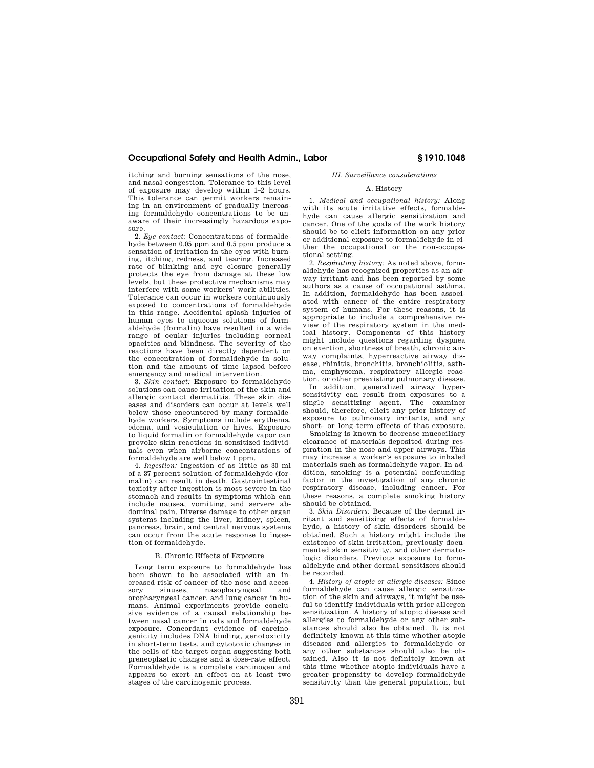itching and burning sensations of the nose, and nasal congestion. Tolerance to this level of exposure may develop within 1–2 hours. This tolerance can permit workers remaining in an environment of gradually increasing formaldehyde concentrations to be unaware of their increasingly hazardous exposure.

2. *Eye contact:* Concentrations of formaldehyde between 0.05 ppm and 0.5 ppm produce a sensation of irritation in the eyes with burning, itching, redness, and tearing. Increased rate of blinking and eye closure generally protects the eye from damage at these low levels, but these protective mechanisms may interfere with some workers' work abilities. Tolerance can occur in workers continuously exposed to concentrations of formaldehyde in this range. Accidental splash injuries of human eyes to aqueous solutions of formaldehyde (formalin) have resulted in a wide range of ocular injuries including corneal opacities and blindness. The severity of the reactions have been directly dependent on the concentration of formaldehyde in solution and the amount of time lapsed before emergency and medical intervention.

3. *Skin contact:* Exposure to formaldehyde solutions can cause irritation of the skin and allergic contact dermatitis. These skin diseases and disorders can occur at levels well below those encountered by many formaldehyde workers. Symptoms include erythema, edema, and vesiculation or hives. Exposure to liquid formalin or formaldehyde vapor can provoke skin reactions in sensitized individuals even when airborne concentrations of formaldehyde are well below 1 ppm.

4. *Ingestion:* Ingestion of as little as 30 ml of a 37 percent solution of formaldehyde (formalin) can result in death. Gastrointestinal toxicity after ingestion is most severe in the stomach and results in symptoms which can include nausea, vomiting, and servere abdominal pain. Diverse damage to other organ systems including the liver, kidney, spleen, pancreas, brain, and central nervous systems can occur from the acute response to ingestion of formaldehyde.

# B. Chronic Effects of Exposure

Long term exposure to formaldehyde has been shown to be associated with an increased risk of cancer of the nose and accessory sinuses. nasopharyngeal and sory sinuses, nasopharyngeal oropharyngeal cancer, and lung cancer in humans. Animal experiments provide conclusive evidence of a causal relationship between nasal cancer in rats and formaldehyde exposure. Concordant evidence of carcinogenicity includes DNA binding, genotoxicity in short-term tests, and cytotoxic changes in the cells of the target organ suggesting both preneoplastic changes and a dose-rate effect. Formaldehyde is a complete carcinogen and appears to exert an effect on at least two stages of the carcinogenic process.

# *III. Surveillance considerations*

# A. History

1. *Medical and occupational history:* Along with its acute irritative effects, formaldehyde can cause allergic sensitization and cancer. One of the goals of the work history should be to elicit information on any prior or additional exposure to formaldehyde in either the occupational or the non-occupational setting.

2. *Respiratory history:* As noted above, formaldehyde has recognized properties as an airway irritant and has been reported by some authors as a cause of occupational asthma. In addition, formaldehyde has been associated with cancer of the entire respiratory system of humans. For these reasons, it is appropriate to include a comprehensive review of the respiratory system in the medical history. Components of this history might include questions regarding dyspnea on exertion, shortness of breath, chronic airway complaints, hyperreactive airway disease, rhinitis, bronchitis, bronchiolitis, asthma, emphysema, respiratory allergic reaction, or other preexisting pulmonary disease.

In addition, generalized airway hypersensitivity can result from exposures to a single sensitizing agent. The examiner should, therefore, elicit any prior history of exposure to pulmonary irritants, and any short- or long-term effects of that exposure.

Smoking is known to decrease mucociliary clearance of materials deposited during respiration in the nose and upper airways. This may increase a worker's exposure to inhaled materials such as formaldehyde vapor. In addition, smoking is a potential confounding factor in the investigation of any chronic respiratory disease, including cancer. For these reasons, a complete smoking history should be obtained.

3. *Skin Disorders:* Because of the dermal irritant and sensitizing effects of formaldehyde, a history of skin disorders should be obtained. Such a history might include the existence of skin irritation, previously documented skin sensitivity, and other dermatologic disorders. Previous exposure to formaldehyde and other dermal sensitizers should be recorded.

4. *History of atopic or allergic diseases:* Since formaldehyde can cause allergic sensitization of the skin and airways, it might be useful to identify individuals with prior allergen sensitization. A history of atopic disease and allergies to formaldehyde or any other substances should also be obtained. It is not definitely known at this time whether atopic diseases and allergies to formaldehyde or any other substances should also be obtained. Also it is not definitely known at this time whether atopic individuals have a greater propensity to develop formaldehyde sensitivity than the general population, but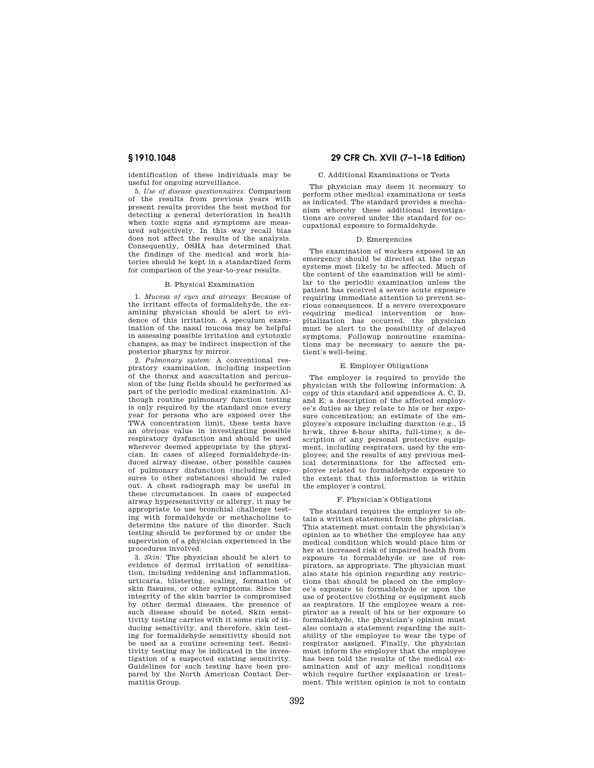identification of these individuals may be useful for ongoing surveillance.

5. *Use of disease questionnaires:* Comparison of the results from previous years with present results provides the best method for detecting a general deterioration in health when toxic signs and symptoms are measured subjectively. In this way recall bias does not affect the results of the analysis. Consequently, OSHA has determined that the findings of the medical and work histories should be kept in a standardized form for comparison of the year-to-year results.

# B. Physical Examination

1. *Mucosa of eyes and airways:* Because of the irritant effects of formaldehyde, the examining physician should be alert to evidence of this irritation. A speculum examination of the nasal mucosa may be helpful in assessing possible irritation and cytotoxic changes, as may be indirect inspection of the posterior pharynx by mirror.

2. *Pulmonary system:* A conventional respiratory examination, including inspection of the thorax and auscultation and percussion of the lung fields should be performed as part of the periodic medical examination. Although routine pulmonary function testing is only required by the standard once every year for persons who are exposed over the TWA concentration limit, these tests have an obvious value in investigating possible respiratory dysfunction and should be used wherever deemed appropriate by the physician. In cases of alleged formaldehyde-induced airway disease, other possible causes of pulmonary disfunction (including exposures to other substances) should be ruled out. A chest radiograph may be useful in these circumstances. In cases of suspected airway hypersensitivity or allergy, it may be appropriate to use bronchial challenge testing with formaldehyde or methacholine to determine the nature of the disorder. Such testing should be performed by or under the supervision of a physician experienced in the procedures involved.

3. *Skin:* The physician should be alert to evidence of dermal irritation of sensitization, including reddening and inflammation, urticaria, blistering, scaling, formation of skin fissures, or other symptoms. Since the integrity of the skin barrier is compromised by other dermal diseases, the presence of such disease should be noted. Skin sensitivity testing carries with it some risk of inducing sensitivity, and therefore, skin testing for formaldehyde sensitivity should not be used as a routine screening test. Sensitivity testing may be indicated in the investigation of a suspected existing sensitivity. Guidelines for such testing have been prepared by the North American Contact Dermatitis Group.

# **§ 1910.1048 29 CFR Ch. XVII (7–1–18 Edition)**

# C. Additional Examinations or Tests

The physician may deem it necessary to perform other medical examinations or tests as indicated. The standard provides a mechanism whereby these additional investigations are covered under the standard for occupational exposure to formaldehyde.

## D. Emergencies

The examination of workers exposed in an emergency should be directed at the organ systems most likely to be affected. Much of the content of the examination will be similar to the periodic examination unless the patient has received a severe acute exposure requiring immediate attention to prevent serious consequences. If a severe overexposure requiring medical intervention or hospitalization has occurred, the physician must be alert to the possibility of delayed symptoms. Followup nonroutine examinations may be necessary to assure the patient's well-being.

### E. Employer Obligations

The employer is required to provide the physician with the following information: A copy of this standard and appendices A, C, D, and E; a description of the affected employee's duties as they relate to his or her exposure concentration; an estimate of the employee's exposure including duration (e.g., 15 hr/wk, three 8-hour shifts, full-time); a description of any personal protective equipment, including respirators, used by the employee; and the results of any previous medical determinations for the affected employee related to formaldehyde exposure to the extent that this information is within the employer's control.

# F. Physician's Obligations

The standard requires the employer to obtain a written statement from the physician. This statement must contain the physician's opinion as to whether the employee has any medical condition which would place him or her at increased risk of impaired health from exposure to formaldehyde or use of respirators, as appropriate. The physician must also state his opinion regarding any restrictions that should be placed on the employee's exposure to formaldehyde or upon the use of protective clothing or equipment such as respirators. If the employee wears a respirator as a result of his or her exposure to formaldehyde, the physician's opinion must also contain a statement regarding the suitability of the employee to wear the type of respirator assigned. Finally, the physician must inform the employer that the employee has been told the results of the medical examination and of any medical conditions which require further explanation or treatment. This written opinion is not to contain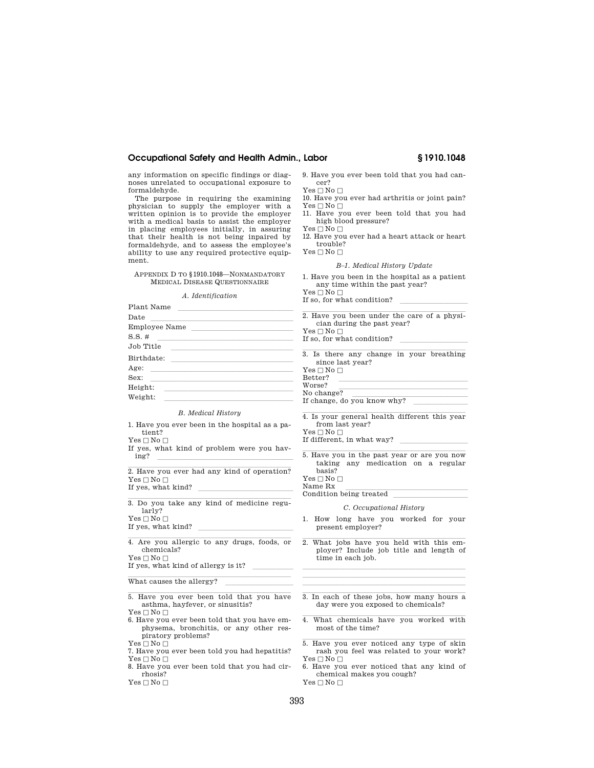any information on specific findings or diagnoses unrelated to occupational exposure to formaldehyde.

The purpose in requiring the examining physician to supply the employer with a written opinion is to provide the employer with a medical basis to assist the employer in placing employees initially, in assuring that their health is not being inpaired by formaldehyde, and to assess the employee's ability to use any required protective equipment.

# APPENDIX D TO §1910.1048—NONMANDATORY MEDICAL DISEASE QUESTIONNAIRE

### *A. Identification*

| Plant Name<br>the contract of the contract of the contract of the contract of the contract of the contract of the contract of |  |
|-------------------------------------------------------------------------------------------------------------------------------|--|
| Date $\qquad \qquad$                                                                                                          |  |
| Employee Name                                                                                                                 |  |
|                                                                                                                               |  |
| Job Title                                                                                                                     |  |
|                                                                                                                               |  |
| $\text{Age:}$                                                                                                                 |  |
| Sex:                                                                                                                          |  |
|                                                                                                                               |  |
| Weight:                                                                                                                       |  |
|                                                                                                                               |  |

# *B. Medical History*

1. Have you ever been in the hospital as a patient?

 $Yes \Box No \Box$ If yes, what kind of problem were you having? <u>limation</u>

2. Have you ever had any kind of operation? Yes □ No □<br>If yes\_what

If yes, what kind?  $\overline{\qquad \qquad }$ 

3. Do you take any kind of medicine regularly?  $Yes \Box No \Box$ 

If yes, what kind?

4. Are you allergic to any drugs, foods, or chemicals?<br>Yes  $\Box$  No  $\Box$ 

Yes □ No □<br>If yes\_what

If yes, what kind of allergy is it?  $\overline{\qquad \qquad }$ 

What causes the allergy?  $\qquad \qquad \qquad$ 

5. Have you ever been told that you have asthma, hayfever, or sinusitis?  $\mathbf{Yes} \ \square \ \mathbf{No} \ \square$ 

6. Have you ever been told that you have emphysema, bronchitis, or any other respiratory problems?

 $\mathbf{Yes} \ \square \ \mathbf{No} \ \square$ 

- 7. Have you ever been told you had hepatitis? Yes □ No □<br>8. Have you ever been told that you had cir-
- rhosis?

 $Yes \Box No \Box$ 

- 9. Have you ever been told that you had cancer?  $Yes \Box No \Box$
- 10. Have you ever had arthritis or joint pain?<br>Yes  $\Box$  No  $\Box$
- Yes □ No □<br>11. Have you ever been told that you had high blood pressure?
- $Yes \Box No \Box$ 12. Have you ever had a heart attack or heart trouble?

 $Yes \Box No \Box$ 

# *B–1. Medical History Update*

1. Have you been in the hospital as a patient any time within the past year?<br>Yes  $\Box$  No  $\Box$ 

 $\mathrm{Yes} \ \Box \ \mathrm{No} \ \Box$  of solid for whi If so, for what condition?  $\qquad \qquad \qquad$ 

2. Have you been under the care of a physician during the past year?

Yes □ No □<br>If so\_for wh If so, for what condition?  $\qquad \qquad \qquad$ 

3. Is there any change in your breathing since last year?  $Yes \Box No \Box$ <br>Better? Better? lletter: lletter and the second life of the second life of the second life of the second life of the s<br>Worse? life of the second life of the second life of the second life of the second life of the second life of t Worse?<br>No change?

| No change? |                             |  |
|------------|-----------------------------|--|
|            | If change, do you know why? |  |
|            |                             |  |

4. Is your general health different this year from last year?

 $Yes \Box No \Box$ If different, in what way?

- 5. Have you in the past year or are you now taking any medication on a regular basis?
- $Yes \Box No \Box$ <br>Name Rx

Name Rx<br>Condition being treated

Condition being treated

# *C. Occupational History*

- 1. How long have you worked for your present employer?
- 2. What jobs have you held with this employer? Include job title and length of time in each job.

llland av den stad av den stad av den stad av den stad av den stad av den stad av den stad av den stad av den llland and the second second second second second second second second second second second second second second

- llland av den stadsmannsna og stadsmannsna og stadsmannsna og stadsmannsna og stadsmannsna og stadsmannsna og  $\overline{a}$ . In each of these jobs, how many hours a day were you exposed to chemicals?
- 4. What chemicals have you worked with most of the time?
- 5. Have you ever noticed any type of skin rash you feel was related to your work?  $\mathrm{Yes} \ \square \ \mathrm{No} \ \square$
- 6. Have you ever noticed that any kind of chemical makes you cough?

 $\mathbf{Yes} \ \square \ \mathbf{No} \ \square$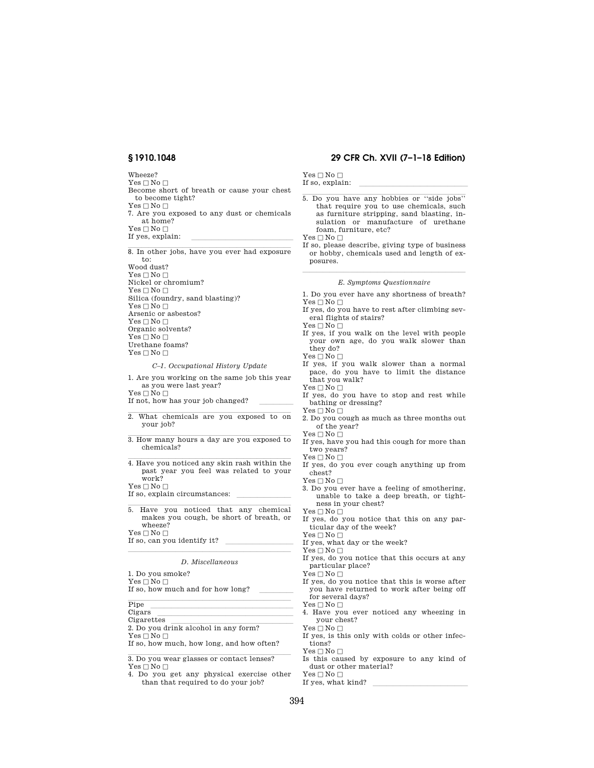Wheeze? Yes  $\Box$  No  $\Box$ <br>Become short of breath or cause your chest to become tight?<br>Yes  $\Box$  No  $\Box$ Yes  $\Box$  No  $\Box$ <br>7. Are you exposed to any dust or chemicals at home?  $\mathrm{Yes} \sqcap \mathrm{No} \sqcap$ If yes, explain: 8. In other jobs, have you ever had exposure to: Wood dust? Yes □ No □<br>Nickel or chromium?  $Yes \Box No \Box$ <br>Silica (foundry, sand blasting)?

 $Yes \Box No \Box$ Arsenic or asbestos? Yes □ No □<br>Organic solvents?  $\mathrm{Yes} \ \square \ \mathrm{No} \ \square$ Urethane foams?  $\mathbf{Yes} \ \square \ \mathbf{No} \ \square$ 

# *C–1. Occupational History Update*

1. Are you working on the same job this year as you were last year?

 $Yes \sqcap No \sqcap$ 

- If not, how has your job changed?
- 2. What chemicals are you exposed to on your job?
- 3. How many hours a day are you exposed to chemicals?
- 4. Have you noticed any skin rash within the past year you feel was related to your work?  $\mathrm{Yes} \ \square \ \mathrm{No} \ \square$
- If so, explain circumstances:
- 5. Have you noticed that any chemical makes you cough, be short of breath, or wheeze?  $Yes \Box No \Box$
- If so, can you identify it?

### llland av den stad av den stad av den stad av den stad av den stad av den stad av den stad av den stad av den *D. Miscellaneous*

1. Do you smoke? Yes □ No □<br>If so \_how\_m If so, how much and for how long?  $\qquad \qquad$ 

Pine and the set of the set of the set of the set of the set of the set of the set of the set of the set of the set of the set of the set of the set of the set of the set of the set of the set of the set of the set of the

- Pipe lllllllllllllllllllll
- Cigars<br>Cigarettes
- Cigarettes<br>2. Do you drink alcohol in any form?
- Yes  $\Box$  No  $\Box$ <br>If so, how much, how long, and how often?

3. Do you wear glasses or contact lenses?

 $Yes \sqcap No \sqcap$ 

4. Do you get any physical exercise other than that required to do your job?

# **§ 1910.1048 29 CFR Ch. XVII (7–1–18 Edition)**

# $Yes \sqcap No \sqcap$

If so, explain:

5. Do you have any hobbies or "side jobs" that require you to use chemicals, such as furniture stripping, sand blasting, insulation or manufacture of urethane foam, furniture, etc?

 $Yes \Box No \Box$ 

If so, please describe, giving type of business or hobby, chemicals used and length of exposures.

### llland av den stad av den stad av den stad av den stad av den stad av den stad av den stad av den stad av den *E. Symptoms Questionnaire*

1. Do you ever have any shortness of breath?  $Yes \Box No \Box$ 

- If yes, do you have to rest after climbing several flights of stairs?
- 
- Yes  $\Box$  No  $\Box$ <br>If yes, if you walk on the level with people your own age, do you walk slower than they do?<br>Yes  $\Box$  No  $\Box$
- 
- Yes □ No □<br>If yes, if you walk slower than a normal pace, do you have to limit the distance that you walk?
- $Yes \Box No \Box$
- If yes, do you have to stop and rest while bathing or dressing?

 $Yes \sqcap No \sqcap$ 

- 2. Do you cough as much as three months out of the year?
- $Yes \Box No \Box$
- If yes, have you had this cough for more than two years?
- $\mathbf{Yes} \ \square \ \mathbf{No} \ \square$
- If yes, do you ever cough anything up from chest?

 $\mathbf{Yes} \ \square \ \mathbf{No} \ \square$ 

3. Do you ever have a feeling of smothering, unable to take a deep breath, or tightness in your chest?

 $\mathbf{Yes} \ \square \ \mathbf{No} \ \square$ 

- If yes, do you notice that this on any particular day of the week?
- Yes  $\Box$  No  $\Box$ <br>If yes, what day or the week?

- $\bar{Y}$ es  $\Box$  No  $\Box$
- If yes, do you notice that this occurs at any particular place?
- $Yes \Box No \Box$
- If yes, do you notice that this is worse after you have returned to work after being off for several days?<br>Yes  $\Box$  No  $\Box$ 
	-
- Yes □ No □<br>4. Have you ever noticed any wheezing in your chest?

 $Yes \Box No \Box$ 

If yes, is this only with colds or other infections?

Yes  $\Box$  No  $\Box$ <br>Is this caused by exposure to any kind of dust or other material?

 $Yes \Box No \Box$ If yes, what kind?  $\,$